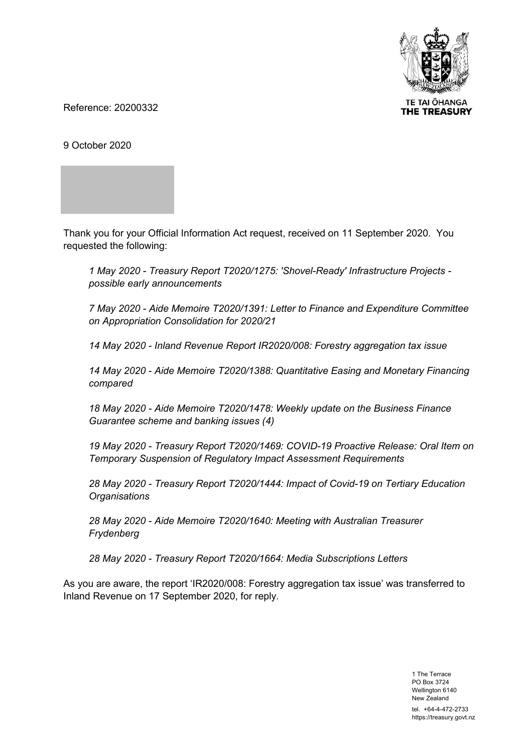

Reference: 20200332

9 October 2020

Thank you for your Official Information Act request, received on 11 September 2020. You requested the following:

*1 May 2020 - Treasury Report T2020/1275: 'Shovel-Ready' Infrastructure Projects possible early announcements* 

*7 May 2020 - Aide Memoire T2020/1391: Letter to Finance and Expenditure Committee on Appropriation Consolidation for 2020/21* 

*14 May 2020 - Inland Revenue Report IR2020/008: Forestry aggregation tax issue* 

*14 May 2020 - Aide Memoire T2020/1388: Quantitative Easing and Monetary Financing compared* 

*18 May 2020 - Aide Memoire T2020/1478: Weekly update on the Business Finance Guarantee scheme and banking issues (4)* 

*19 May 2020 - Treasury Report T2020/1469: COVID-19 Proactive Release: Oral Item on Temporary Suspension of Regulatory Impact Assessment Requirements* 

*28 May 2020 - Treasury Report T2020/1444: Impact of Covid-19 on Tertiary Education Organisations* 

*28 May 2020 - Aide Memoire T2020/1640: Meeting with Australian Treasurer Frydenberg* 

*28 May 2020 - Treasury Report T2020/1664: Media Subscriptions Letters* 

As you are aware, the report 'IR2020/008: Forestry aggregation tax issue' was transferred to Inland Revenue on 17 September 2020, for reply.

> 1 The Terrace PO Box 3724 Wellington 6140 New Zealand tel. +64-4-472-2733 https://treasury.govt.nz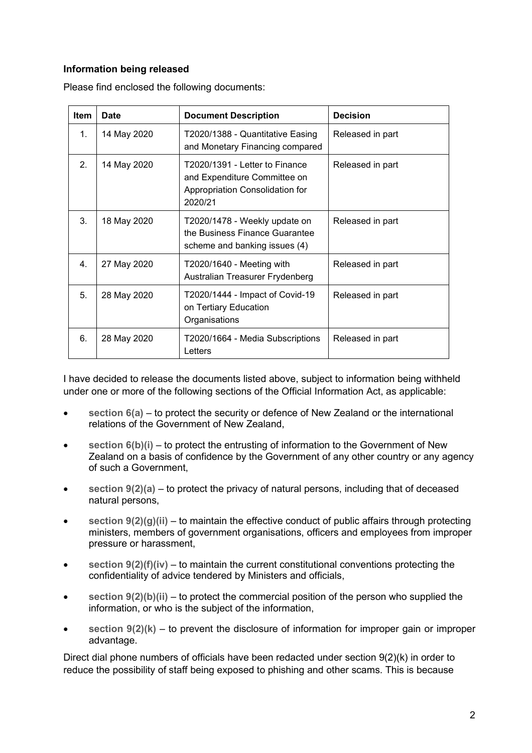# **Information being released**

| <b>Item</b>    | <b>Date</b> | <b>Document Description</b>                                                                                  | <b>Decision</b>  |
|----------------|-------------|--------------------------------------------------------------------------------------------------------------|------------------|
| $\mathbf 1$ .  | 14 May 2020 | T2020/1388 - Quantitative Easing<br>and Monetary Financing compared                                          | Released in part |
| 2 <sub>1</sub> | 14 May 2020 | T2020/1391 - Letter to Finance<br>and Expenditure Committee on<br>Appropriation Consolidation for<br>2020/21 | Released in part |
| 3.             | 18 May 2020 | T2020/1478 - Weekly update on<br>the Business Finance Guarantee<br>scheme and banking issues (4)             | Released in part |
| 4 <sub>1</sub> | 27 May 2020 | T2020/1640 - Meeting with<br>Australian Treasurer Frydenberg                                                 | Released in part |
| 5.             | 28 May 2020 | T2020/1444 - Impact of Covid-19<br>on Tertiary Education<br>Organisations                                    | Released in part |
| 6.             | 28 May 2020 | T2020/1664 - Media Subscriptions<br>Letters                                                                  | Released in part |

I have decided to release the documents listed above, subject to information being withheld under one or more of the following sections of the Official Information Act, as applicable:

- **section 6(a)**  to protect the security or defence of New Zealand or the international relations of the Government of New Zealand,
- section  $6(b)(i)$  to protect the entrusting of information to the Government of New Zealand on a basis of confidence by the Government of any other country or any agency of such a Government,
- **section 9(2)(a)**  to protect the privacy of natural persons, including that of deceased natural persons,
- **section 9(2)(g)(ii)**  to maintain the effective conduct of public affairs through protecting ministers, members of government organisations, officers and employees from improper pressure or harassment,
- **section 9(2)(f)(iv)**  to maintain the current constitutional conventions protecting the confidentiality of advice tendered by Ministers and officials,
- **section 9(2)(b)(ii)**  to protect the commercial position of the person who supplied the information, or who is the subject of the information,
- **section 9(2)(k)**  to prevent the disclosure of information for improper gain or improper advantage.

Direct dial phone numbers of officials have been redacted under section 9(2)(k) in order to reduce the possibility of staff being exposed to phishing and other scams. This is because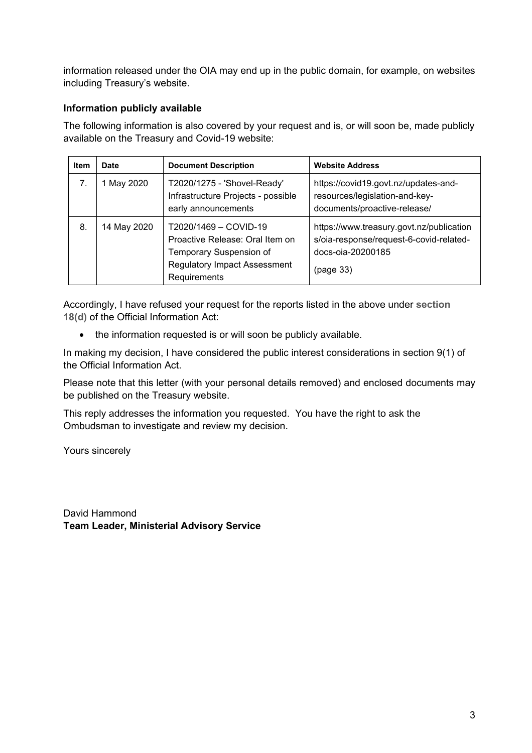information released under the OIA may end up in the public domain, for example, on websites including Treasury's website.

# **Information publicly available**

The following information is also covered by your request and is, or will soon be, made publicly available on the Treasury and Covid-19 website:

| Item | <b>Date</b> | <b>Document Description</b>                                                                                                                | <b>Website Address</b>                                                                                                |
|------|-------------|--------------------------------------------------------------------------------------------------------------------------------------------|-----------------------------------------------------------------------------------------------------------------------|
|      | 1 May 2020  | T2020/1275 - 'Shovel-Ready'<br>Infrastructure Projects - possible<br>early announcements                                                   | https://covid19.govt.nz/updates-and-<br>resources/legislation-and-key-<br>documents/proactive-release/                |
| 8.   | 14 May 2020 | T2020/1469 - COVID-19<br>Proactive Release: Oral Item on<br>Temporary Suspension of<br><b>Regulatory Impact Assessment</b><br>Requirements | https://www.treasury.govt.nz/publication<br>s/oia-response/request-6-covid-related-<br>docs-oia-20200185<br>(page 33) |

Accordingly, I have refused your request for the reports listed in the above under **section 18(d)** of the Official Information Act:

• the information requested is or will soon be publicly available.

In making my decision, I have considered the public interest considerations in section 9(1) of the Official Information Act.

Please note that this letter (with your personal details removed) and enclosed documents may be published on the Treasury website.

This reply addresses the information you requested. You have the right to ask the Ombudsman to investigate and review my decision.

Yours sincerely

David Hammond **Team Leader, Ministerial Advisory Service**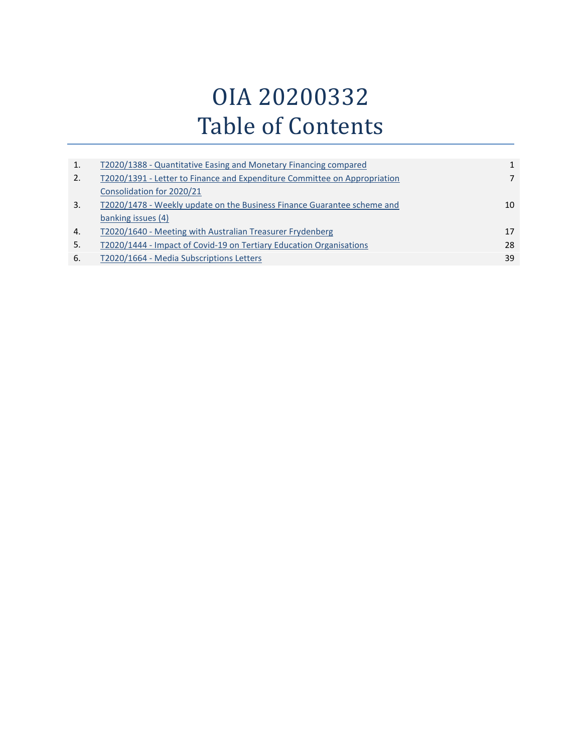# OIA 20200332 Table of Contents

| 1.               | T2020/1388 - Quantitative Easing and Monetary Financing compared          | $\mathbf{1}$ |
|------------------|---------------------------------------------------------------------------|--------------|
| 2.               | T2020/1391 - Letter to Finance and Expenditure Committee on Appropriation |              |
|                  | Consolidation for 2020/21                                                 |              |
| 3.               | T2020/1478 - Weekly update on the Business Finance Guarantee scheme and   | 10           |
|                  | banking issues (4)                                                        |              |
| $\overline{4}$ . | T2020/1640 - Meeting with Australian Treasurer Frydenberg                 | 17           |
| 5.               | T2020/1444 - Impact of Covid-19 on Tertiary Education Organisations       | 28           |
| 6.               | T2020/1664 - Media Subscriptions Letters                                  | 39           |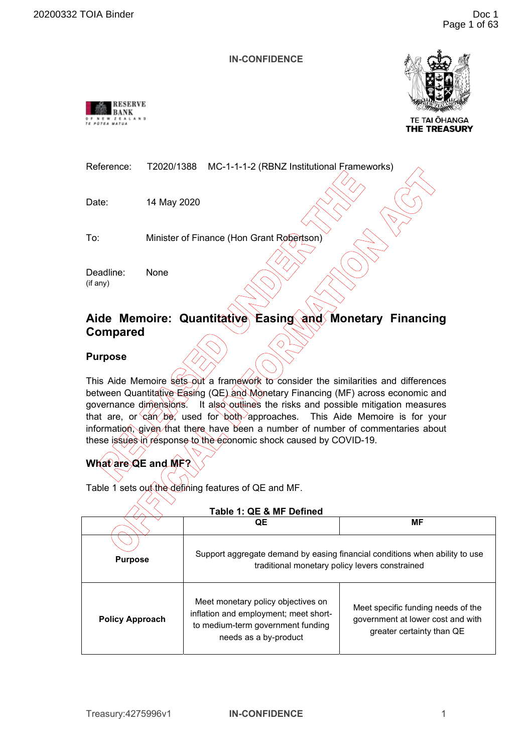<span id="page-4-0"></span>



**TE TAI OHANGA THE TREASURY** 

| Reference: | T2020/1388 MC-1-1-1-2 (RBNZ Institutional Frameworks) |  |
|------------|-------------------------------------------------------|--|
|            |                                                       |  |

Date: 14 May 2020

To: Minister of Finance (Hon Grant Robertson)

Deadline: None (if any)

# **Aide Memoire: Quantitative Easing and Monetary Financing Compared**

**Purpose** 

This Aide Memoire sets out a framework to consider the similarities and differences between Quantitative Easing (QE) and Monetary Financing (MF) across economic and governance dimensions. It also outlines the risks and possible mitigation measures that are, or  $\cos \theta$  be, used for both approaches. This Aide Memoire is for your information, given that there have been a number of number of commentaries about these issues in response to the economic shock caused by COVID-19.

# **What are QE and MF?**

Table 1 sets out the defining features of QE and MF.

| Table 1: QE & MF Defined |                                                                                                                                           |                                                                                                      |  |  |  |
|--------------------------|-------------------------------------------------------------------------------------------------------------------------------------------|------------------------------------------------------------------------------------------------------|--|--|--|
|                          | QE                                                                                                                                        | <b>MF</b>                                                                                            |  |  |  |
| <b>Purpose</b>           | Support aggregate demand by easing financial conditions when ability to use<br>traditional monetary policy levers constrained             |                                                                                                      |  |  |  |
| <b>Policy Approach</b>   | Meet monetary policy objectives on<br>inflation and employment; meet short-<br>to medium-term government funding<br>needs as a by-product | Meet specific funding needs of the<br>government at lower cost and with<br>greater certainty than QE |  |  |  |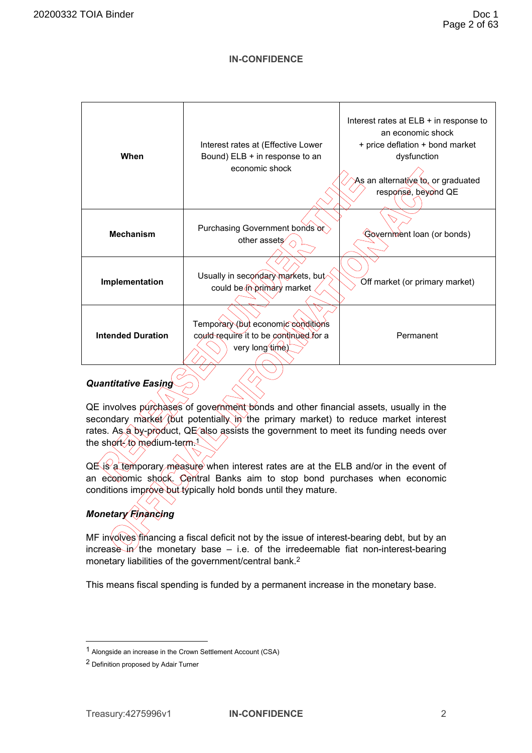| When                     | Interest rates at (Effective Lower<br>Bound) ELB + in response to an<br>economic shock          | Interest rates at ELB + in response to<br>an economic shock<br>+ price deflation + bond market<br>dysfunction<br>As an alternative to, or graduated<br>response, beyond QE |
|--------------------------|-------------------------------------------------------------------------------------------------|----------------------------------------------------------------------------------------------------------------------------------------------------------------------------|
| <b>Mechanism</b>         | Purchasing Government bonds or<br>other assets                                                  | Government loan (or bonds)                                                                                                                                                 |
| Implementation           | Usually in secondary markets, but<br>could be (in primary market                                | Off market (or primary market)                                                                                                                                             |
| <b>Intended Duration</b> | Temporary (but economic conditions<br>could require it to be continued for a<br>very long time) | Permanent                                                                                                                                                                  |

# *Quantitative Easing*

QE involves purchases of government bonds and other financial assets, usually in the secondary market (but potentially in the primary market) to reduce market interest rates. As a by-product, QE also assists the government to meet its funding needs over the short- to medium-term.<sup>1</sup>

QE is a temporary measure when interest rates are at the ELB and/or in the event of an economic shock. Central Banks aim to stop bond purchases when economic conditions improve but typically hold bonds until they mature.

# *Monetary Financing*

MF involves financing a fiscal deficit not by the issue of interest-bearing debt, but by an increase in the monetary base – i.e. of the irredeemable fiat non-interest-bearing monetary liabilities of the government/central bank.<sup>2</sup>

This means fiscal spending is funded by a permanent increase in the monetary base.

<sup>1</sup> Alongside an increase in the Crown Settlement Account (CSA)

<sup>2</sup> Definition proposed by Adair Turner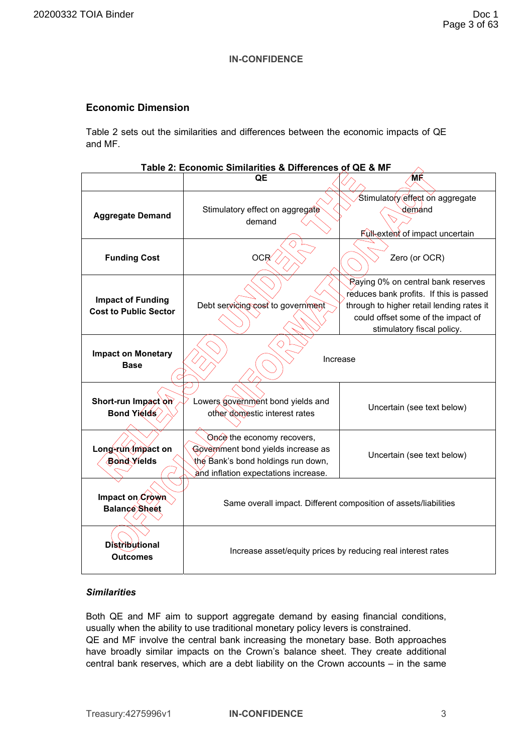# **Economic Dimension**

Table 2 sets out the similarities and differences between the economic impacts of QE and MF.

| Table 2: Economic Similarities & Differences of QE & MF                                                  |                                                                                                                                                |                                                                                                                                                                                                |  |  |
|----------------------------------------------------------------------------------------------------------|------------------------------------------------------------------------------------------------------------------------------------------------|------------------------------------------------------------------------------------------------------------------------------------------------------------------------------------------------|--|--|
|                                                                                                          | QE                                                                                                                                             | 'MŔ                                                                                                                                                                                            |  |  |
| <b>Aggregate Demand</b>                                                                                  | Stimulatory effect on aggregate<br>demand                                                                                                      | Stimulatory effect on aggregate<br>demand<br>Full-extent of impact uncertain                                                                                                                   |  |  |
| <b>Funding Cost</b>                                                                                      | OCR/                                                                                                                                           | Zero (or OCR)                                                                                                                                                                                  |  |  |
| <b>Impact of Funding</b><br><b>Cost to Public Sector</b>                                                 | Debt servicing cost to government                                                                                                              | Raying 0% on central bank reserves<br>reduces bank profits. If this is passed<br>through to higher retail lending rates it<br>could offset some of the impact of<br>stimulatory fiscal policy. |  |  |
| <b>Impact on Monetary</b><br><b>Base</b>                                                                 | Increase                                                                                                                                       |                                                                                                                                                                                                |  |  |
| Short-run Impact on<br>Lowers government bond yields and<br>Bond Yields<br>other domestic interest rates |                                                                                                                                                | Uncertain (see text below)                                                                                                                                                                     |  |  |
| Long-run/mpact on<br><b>Bond Yields</b>                                                                  | Once the economy recovers,<br>Government bond yields increase as<br>the Bank's bond holdings run down,<br>and inflation expectations increase. | Uncertain (see text below)                                                                                                                                                                     |  |  |
| Impact on Crown<br>Balance Sheet                                                                         | Same overall impact. Different composition of assets/liabilities                                                                               |                                                                                                                                                                                                |  |  |
| <b>Distributional</b><br>Outcomes                                                                        | Increase asset/equity prices by reducing real interest rates                                                                                   |                                                                                                                                                                                                |  |  |

# *Similarities*

Both QE and MF aim to support aggregate demand by easing financial conditions, usually when the ability to use traditional monetary policy levers is constrained. QE and MF involve the central bank increasing the monetary base. Both approaches have broadly similar impacts on the Crown's balance sheet. They create additional central bank reserves, which are a debt liability on the Crown accounts – in the same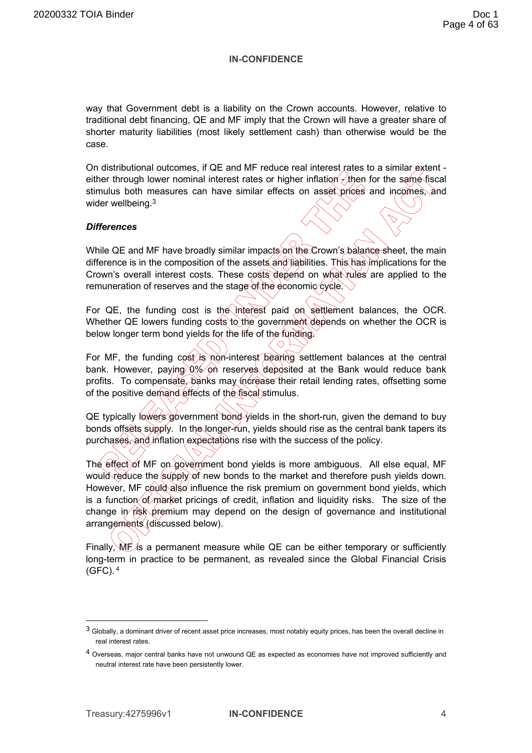way that Government debt is a liability on the Crown accounts. However, relative to traditional debt financing, QE and MF imply that the Crown will have a greater share of shorter maturity liabilities (most likely settlement cash) than otherwise would be the case.

On distributional outcomes, if QE and MF reduce real interest rates to a similar extent either through lower nominal interest rates or higher inflation  $\angle$  then for the same fiscal stimulus both measures can have similar effects on asset prices and incomes, and wider wellbeing.<sup>3</sup>

### *Differences*

While QE and MF have broadly similar impacts on the Crown's balance sheet, the main difference is in the composition of the assets and liabilities. This has implications for the Crown's overall interest costs. These costs depend on what rules are applied to the remuneration of reserves and the stage of the economic cycle.

For QE, the funding cost is the interest paid on settlement balances, the OCR. Whether QE lowers funding costs to the government depends on whether the OCR is below longer term bond yields for the life of the funding.

For MF, the funding  $\cos t / i$ s non-interest bearing settlement balances at the central bank. However, paying 0% on reserves deposited at the Bank would reduce bank profits. To compensate, banks may increase their retail lending rates, offsetting some of the positive demand effects of the fiscal stimulus.

QE typically lowers government bond yields in the short-run, given the demand to buy bonds offsets supply. In the longer-run, yields should rise as the central bank tapers its purchases, and inflation expectations rise with the success of the policy.

The effect of MF on government bond yields is more ambiguous. All else equal, MF would reduce the supply of new bonds to the market and therefore push yields down. However, MF could also influence the risk premium on government bond yields, which is a function of market pricings of credit, inflation and liquidity risks. The size of the change in  $\vec{r}$  risk premium may depend on the design of governance and institutional arrangements (discussed below).

Finally,  $\mathbf{M} \dot{\mathbf{F}}$  is a permanent measure while QE can be either temporary or sufficiently long-term in practice to be permanent, as revealed since the Global Financial Crisis  $(GFC)$ .  $4$ 

<sup>3</sup> Globally, a dominant driver of recent asset price increases, most notably equity prices, has been the overall decline in real interest rates.

<sup>4</sup> Overseas, major central banks have not unwound QE as expected as economies have not improved sufficiently and neutral interest rate have been persistently lower.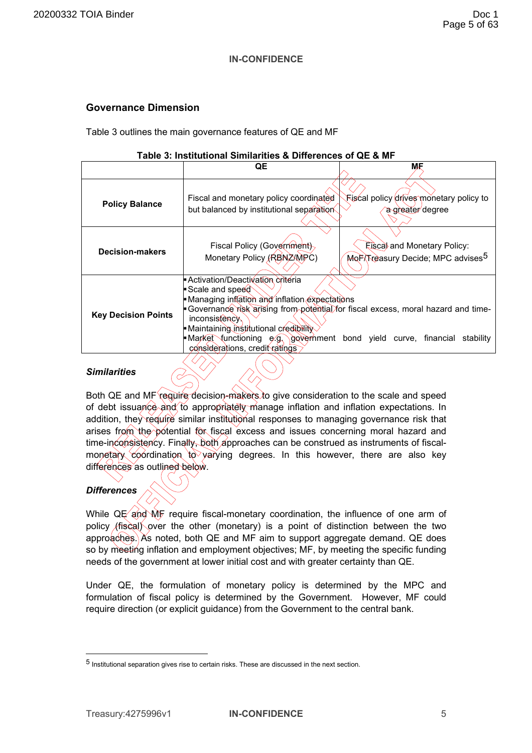# **Governance Dimension**

Table 3 outlines the main governance features of QE and MF

|--|

|                            | QE                                                                                                                                                                                                                                                                                                                                                                            | МF                                                                                  |  |
|----------------------------|-------------------------------------------------------------------------------------------------------------------------------------------------------------------------------------------------------------------------------------------------------------------------------------------------------------------------------------------------------------------------------|-------------------------------------------------------------------------------------|--|
| <b>Policy Balance</b>      | Fiscal and monetary policy coordinated<br>but balanced by institutional separation                                                                                                                                                                                                                                                                                            | े Fiscal policy drives monetary policy to<br>a greater degree                       |  |
| <b>Decision-makers</b>     | Fiscal Policy (Government)<br>Monetary Policy (RBNZAMPC)                                                                                                                                                                                                                                                                                                                      | <b>Elscal and Monetary Policy:</b><br>MorXTreasury Decide; MPC advises <sup>5</sup> |  |
| <b>Key Decision Points</b> | Activation/Deactivation criteria<br>Scale and speed<br>■ Managing inflation and inflation expectations<br>► Governance risk arising from potential for fiscal excess, moral hazard and time-<br>inconsistency<br>■ Maintaining institutional credibility<br>• Market functioning $e.g.$ government bond yield curve, financial<br>stability<br>considerations, credit ratings |                                                                                     |  |

## *Similarities*

Both QE and MF require decision-makers to give consideration to the scale and speed of debt issuance and to appropriately manage inflation and inflation expectations. In addition, they require similar institutional responses to managing governance risk that arises from the potential for fiscal excess and issues concerning moral hazard and time-inconsistency. Finally, both approaches can be construed as instruments of fiscalmonetary coordination to varying degrees. In this however, there are also key differences as outlined below.

# *Differences*

While QE and MF require fiscal-monetary coordination, the influence of one arm of policy (fiscal) over the other (monetary) is a point of distinction between the two approaches. As noted, both QE and MF aim to support aggregate demand. QE does so by meeting inflation and employment objectives; MF, by meeting the specific funding needs of the government at lower initial cost and with greater certainty than QE.

Under QE, the formulation of monetary policy is determined by the MPC and formulation of fiscal policy is determined by the Government. However, MF could require direction (or explicit guidance) from the Government to the central bank.

<sup>5</sup> Institutional separation gives rise to certain risks. These are discussed in the next section.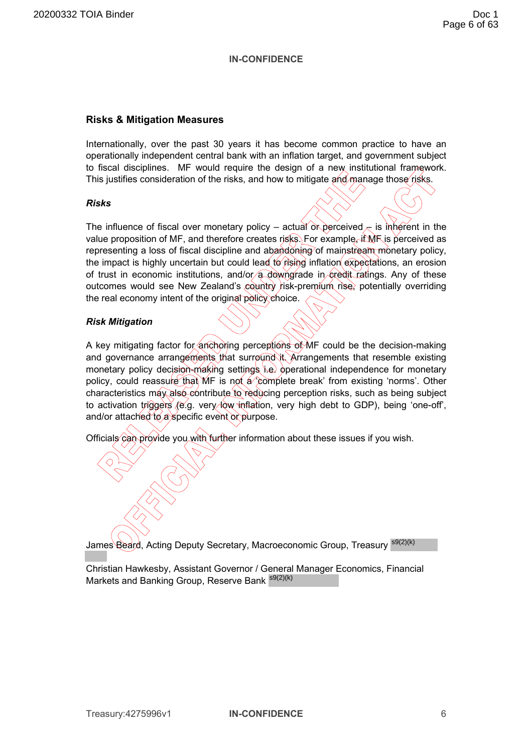## **Risks & Mitigation Measures**

Internationally, over the past 30 years it has become common practice to have an operationally independent central bank with an inflation target, and government subject to fiscal disciplines. MF would require the design of a new institutional framework. This justifies consideration of the risks, and how to mitigate and manage those risks.

### *Risks*

The influence of fiscal over monetary policy – actual or perceived  $\lt$  is inherent in the value proposition of MF, and therefore creates risks. For example, if MF is perceived as representing a loss of fiscal discipline and abandoning of mainstream monetary policy, the impact is highly uncertain but could lead to  $\beta$  is inflation expectations, an erosion of trust in economic institutions, and/or a downgrade in credit ratings. Any of these outcomes would see New Zealand's country risk-premium rise, potentially overriding the real economy intent of the original policy choice.

# *Risk Mitigation*

A key mitigating factor for anchoring perceptions of MF could be the decision-making and governance arrangements that surround it. Arrangements that resemble existing monetary policy decision-making settings i.e. operational independence for monetary policy, could reassure that MF is not a 'complete break' from existing 'norms'. Other characteristics may also contribute to reducing perception risks, such as being subject to activation triggers (e.g. very low inflation, very high debt to GDP), being 'one-off', and/or attached to a specific event or purpose.

Officials can provide you with further information about these issues if you wish.

James<sup>\</sup>Beard, Acting Deputy Secretary, Macroeconomic Group, Treasury <sup>s9(2)(k)</sup>

Christian Hawkesby, Assistant Governor / General Manager Economics, Financial Markets and Banking Group, Reserve Bank <sup>s9(2)(k)</sup>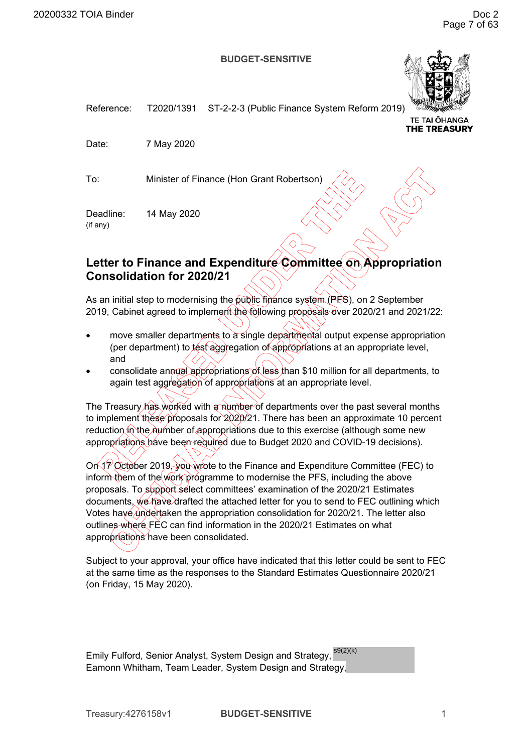#### **BUDGET-SENSITIVE**



<span id="page-10-0"></span>Reference: T2020/1391 ST-2-2-3 (Public Finance System Reform 2019) TE TAI ŌHANGA **THE TREASURY** Date: 7 May 2020

To: Minister of Finance (Hon Grant Robertson)

Deadline: 14 May 2020 (if any)

# Letter to Finance and Expenditure Committee on Appropriation **Consolidation for 2020/21**

As an initial step to modernising the public finance system (PFS), on 2 September 2019, Cabinet agreed to implement the following proposals over 2020/21 and 2021/22:

- move smaller departments to a single departmental output expense appropriation (per department) to test aggregation of appropriations at an appropriate level, and
- consolidate annual appropriations of less than \$10 million for all departments, to again test aggregation of appropriations at an appropriate level.

The Treasury has worked with a number of departments over the past several months to implement these proposals for 2020/21. There has been an approximate 10 percent reduction in the number of appropriations due to this exercise (although some new appropriations have been required due to Budget 2020 and COVID-19 decisions).

On 19 October 2019, you wrote to the Finance and Expenditure Committee (FEC) to inform them of the work programme to modernise the PFS, including the above proposals. To support select committees' examination of the 2020/21 Estimates documents, we have drafted the attached letter for you to send to FEC outlining which Votes haye undertaken the appropriation consolidation for 2020/21. The letter also outlines where FEC can find information in the 2020/21 Estimates on what appropriations have been consolidated.

Subject to your approval, your office have indicated that this letter could be sent to FEC at the same time as the responses to the Standard Estimates Questionnaire 2020/21 (on Friday, 15 May 2020).

Emily Fulford, Senior Analyst, System Design and Strategy, <sup>s9(2)(k)</sup> Eamonn Whitham, Team Leader, System Design and Strategy,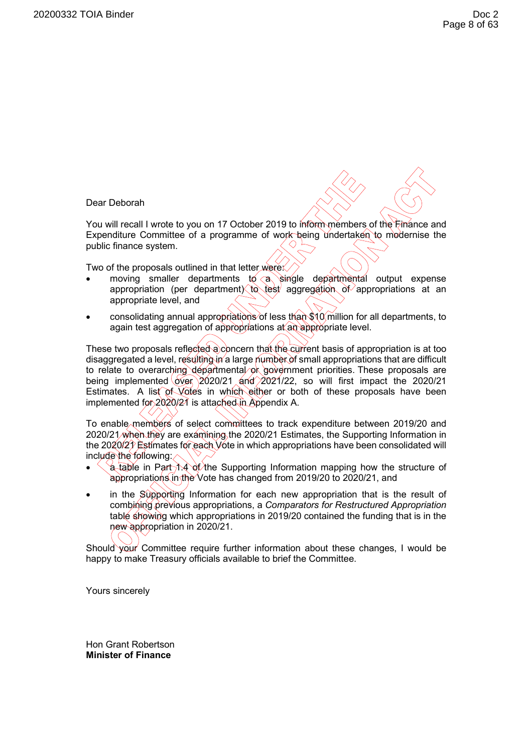Dear Deborah

You will recall I wrote to you on 17 October 2019 to inform members of the Finance and Expenditure Committee of a programme of work being undertaken to modernise the public finance system.

Two of the proposals outlined in that letter were:

- moving smaller departments to a single departmental output expense appropriation (per department) to test aggregation of appropriations at an appropriate level, and
- consolidating annual appropriations of less than \$10 million for all departments, to again test aggregation of appropriations at an appropriate level.

These two proposals reflected a concern that the current basis of appropriation is at too disaggregated a level, resulting in a large number of small appropriations that are difficult to relate to overarching departmental or government priorities. These proposals are being implemented over 2020/21 and 2021/22, so will first impact the 2020/21 Estimates. A list of Votes in which either or both of these proposals have been implemented for  $2020/21$  is attached in Appendix A.

To enable members of select committees to track expenditure between 2019/20 and 2020/21 when they are examining the 2020/21 Estimates, the Supporting Information in the 2020/21 Estimates for each Vote in which appropriations have been consolidated will include the following:

- $\sqrt{a}$  table in Part 1.4 of the Supporting Information mapping how the structure of appropriations in the Vote has changed from 2019/20 to 2020/21, and
- in the Supporting Information for each new appropriation that is the result of combining previous appropriations, a *Comparators for Restructured Appropriation* table showing which appropriations in 2019/20 contained the funding that is in the new appropriation in 2020/21.

Should your Committee require further information about these changes, I would be happy to make Treasury officials available to brief the Committee.

Yours sincerely

Hon Grant Robertson **Minister of Finance**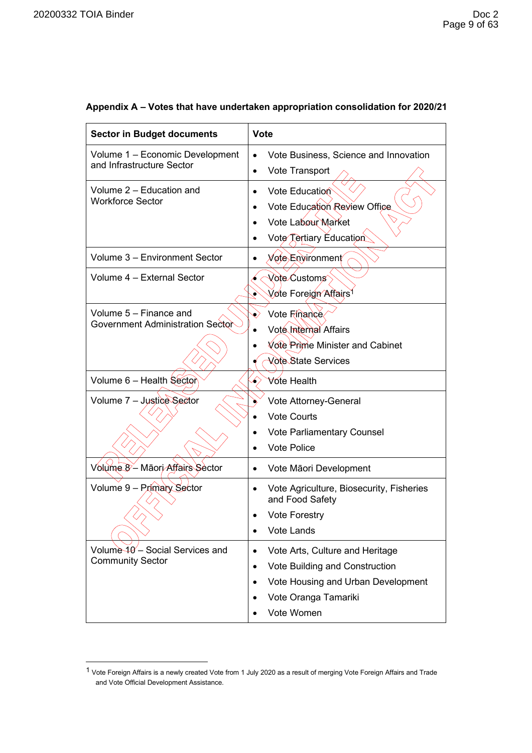| <b>Sector in Budget documents</b>                             | <b>Vote</b>                                                                                                                                                     |  |  |
|---------------------------------------------------------------|-----------------------------------------------------------------------------------------------------------------------------------------------------------------|--|--|
| Volume 1 - Economic Development<br>and Infrastructure Sector  | Vote Business, Science and Innovation<br>Vote Transport<br>$\bullet$                                                                                            |  |  |
| Volume 2 – Education and<br><b>Workforce Sector</b>           | Vote Education<br>Vote Education Review Office<br>Vote Labour Market<br>Vote Tertiary Education                                                                 |  |  |
| Volume 3 - Environment Sector                                 | <i>่ Mo</i> te Environment⁄                                                                                                                                     |  |  |
| Volume 4 - External Sector                                    | Vote Customs<br>Vote Foreign Affairs<br>۰                                                                                                                       |  |  |
| Volume 5 - Finance and<br>Government Administration Sector    | Vote Finance<br>Vote Internal Affairs<br>Vote Prime Minister and Cabinet<br>Vote State Services                                                                 |  |  |
| Volume 6 - Health Sector                                      | <b>∀ote Health</b>                                                                                                                                              |  |  |
| Volume 7 - Justice Sector                                     | Vote Attorney-General<br><b>Vote Courts</b><br>Vote Parliamentary Counsel<br><b>Vote Police</b>                                                                 |  |  |
| Volume 8- Māori Affairs Sector                                | Vote Māori Development<br>$\bullet$                                                                                                                             |  |  |
| Volume 9 - Primary Sector                                     | Vote Agriculture, Biosecurity, Fisheries<br>$\bullet$<br>and Food Safety<br><b>Vote Forestry</b><br>Vote Lands                                                  |  |  |
| Volume $40'$ – Social Services and<br><b>Community Sector</b> | Vote Arts, Culture and Heritage<br>$\bullet$<br>Vote Building and Construction<br>٠<br>Vote Housing and Urban Development<br>Vote Oranga Tamariki<br>Vote Women |  |  |

# **Appendix A – Votes that have undertaken appropriation consolidation for 2020/21**

<sup>1</sup> Vote Foreign Affairs is a newly created Vote from 1 July 2020 as a result of merging Vote Foreign Affairs and Trade and Vote Official Development Assistance.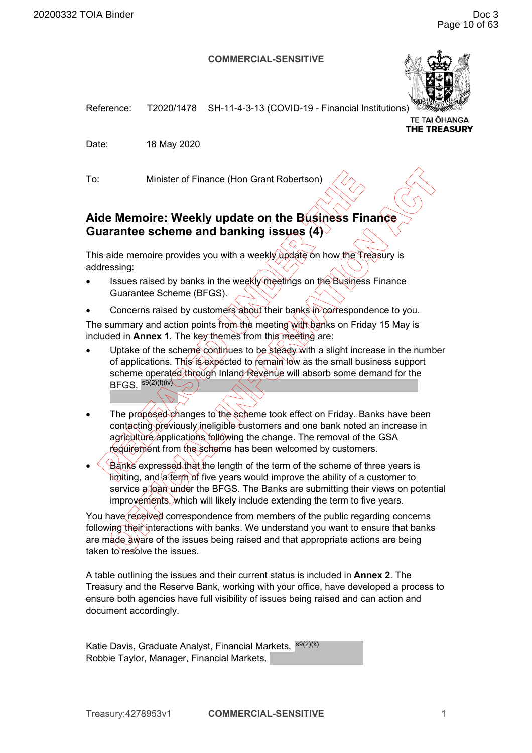#### **COMMERCIAL-SENSITIVE**



<span id="page-13-0"></span>Reference: T2020/1478 SH-11-4-3-13 (COVID-19 - Financial Institutions)

**TE TAI ŌHANGA THE TREASURY** 

Date: 18 May 2020

To: Minister of Finance (Hon Grant Robertson)

# **Aide Memoire: Weekly update on the Business Finance Guarantee scheme and banking issues (4)**

This aide memoire provides you with a weekly update on how the Treasury is addressing:

- Issues raised by banks in the weekly meetings on the Business Finance Guarantee Scheme (BFGS).
- Concerns raised by customers about their banks in correspondence to you.

The summary and action points from the meeting with banks on Friday 15 May is included in **Annex 1**. The key themes from this meeting are:

- Uptake of the scheme continues to be steady with a slight increase in the number of applications. This is expected to remain low as the small business support scheme operated through Inland Revenue will absorb some demand for the  $\mathsf{BFGS},\, \mathsf{^{s9(2)(f)(iv)}}$
- The proposed changes to the scheme took effect on Friday. Banks have been contacting previously ineligible customers and one bank noted an increase in agriculture applications following the change. The removal of the GSA requirement from the scheme has been welcomed by customers.
- **Banks expressed that the length of the term of the scheme of three years is** limiting, and a term of five years would improve the ability of a customer to service a loan under the BFGS. The Banks are submitting their views on potential improvements, which will likely include extending the term to five years.

You have received correspondence from members of the public regarding concerns following their interactions with banks. We understand you want to ensure that banks are made aware of the issues being raised and that appropriate actions are being taken to resolve the issues.

A table outlining the issues and their current status is included in **Annex 2**. The Treasury and the Reserve Bank, working with your office, have developed a process to ensure both agencies have full visibility of issues being raised and can action and document accordingly.

Katie Davis, Graduate Analyst, Financial Markets, <sup>s9(2)(k)</sup> Robbie Taylor, Manager, Financial Markets,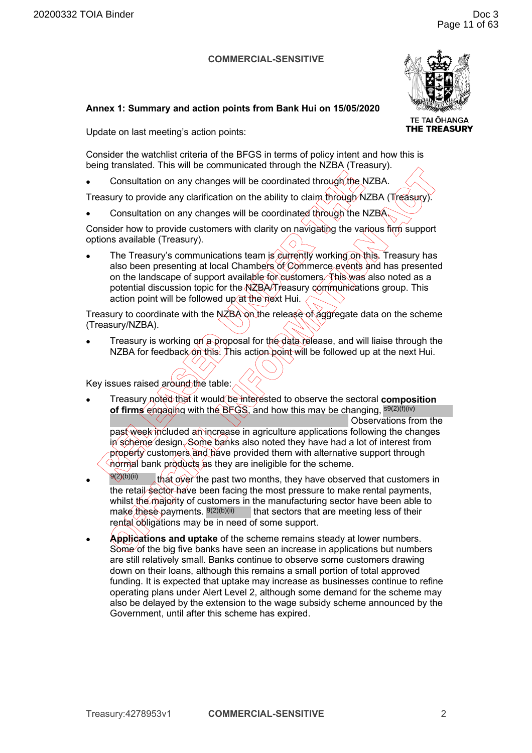### **COMMERCIAL-SENSITIVE**



**TE TAI OHANGA THE TREASURY** 

# **Annex 1: Summary and action points from Bank Hui on 15/05/2020**

Update on last meeting's action points:

Consider the watchlist criteria of the BFGS in terms of policy intent and how this is being translated. This will be communicated through the NZBA (Treasury).

Consultation on any changes will be coordinated through the NZBA.

Treasury to provide any clarification on the ability to claim through NZBA (Treasury).

• Consultation on any changes will be coordinated through the NZBA.

Consider how to provide customers with clarity on navigating the various firm support options available (Treasury).

The Treasury's communications team is currently working on this. Treasury has also been presenting at local Chambers of Commerce events and has presented on the landscape of support available for customers. This was also noted as a potential discussion topic for the NZBA/Treasury communications group. This action point will be followed up at the next Hui.

Treasury to coordinate with the NZBA on the release of aggregate data on the scheme (Treasury/NZBA).

Treasury is working on a proposal for the data release, and will liaise through the NZBA for feedback on this. This action point will be followed up at the next Hui.

Key issues raised around the table:

- Treasury noted that it would be interested to observe the sectoral **composition of firms** engaging with the BFGS, and how this may be changing, s<sup>9(2)(f)(iv)</sup> Observations from the past week included an increase in agriculture applications following the changes in scheme design. Some banks also noted they have had a lot of interest from property customers and have provided them with alternative support through normal bank products as they are ineligible for the scheme.
- that over the past two months, they have observed that customers in the retail sector have been facing the most pressure to make rental payments, whilst the majority of customers in the manufacturing sector have been able to make these payments. <sup>9(2)(b)(ii)</sup> that sectors that are meeting less of their rental obligations may be in need of some support.  $9(2)(b)(ii)$
- **Applications and uptake** of the scheme remains steady at lower numbers. Some of the big five banks have seen an increase in applications but numbers are still relatively small. Banks continue to observe some customers drawing down on their loans, although this remains a small portion of total approved funding. It is expected that uptake may increase as businesses continue to refine operating plans under Alert Level 2, although some demand for the scheme may also be delayed by the extension to the wage subsidy scheme announced by the Government, until after this scheme has expired.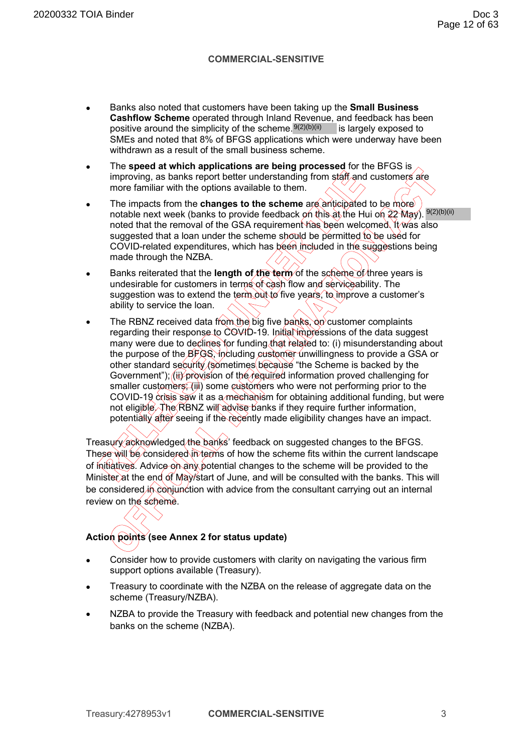## **COMMERCIAL-SENSITIVE**

- Banks also noted that customers have been taking up the **Small Business Cashflow Scheme** operated through Inland Revenue, and feedback has been positive around the simplicity of the scheme.<sup>9(2)(b)(ii)</sup> is largely exposed to SMEs and noted that 8% of BFGS applications which were underway have been withdrawn as a result of the small business scheme.
- The **speed at which applications are being processed** for the BFGS is improving, as banks report better understanding from staff and customers are more familiar with the options available to them.
- The impacts from the **changes to the scheme** are anticipated to be more notable next week (banks to provide feedback on this at the Hui on 22 May). <sup>9(2)(b)(ii)</sup> noted that the removal of the GSA requirement has been welcomed. It was also suggested that a loan under the scheme should be permitted to be used for COVID-related expenditures, which has been included in the suggestions being made through the NZBA.
- Banks reiterated that the **length of the term** of the scheme of three years is undesirable for customers in terms of cash flow and serviceability. The suggestion was to extend the term out to five years, to improve a customer's ability to service the loan.
- The RBNZ received data from the big five banks,  $\partial n$  customer complaints regarding their response to COVID-19. Initial impressions of the data suggest many were due to declines for funding that related to: (i) misunderstanding about the purpose of the BFGS, including customer unwillingness to provide a GSA or other standard security (sometimes because "the Scheme is backed by the Government"); (ii) provision of the required information proved challenging for smaller customers; (iii) some customers who were not performing prior to the COVID-19 crisis saw it as a mechanism for obtaining additional funding, but were not eligible. The RBNZ will advise banks if they require further information, potentially after seeing if the recently made eligibility changes have an impact.

Treasury acknowledged the banks' feedback on suggested changes to the BFGS. These will be considered in terms of how the scheme fits within the current landscape of initiatives. Advice on any potential changes to the scheme will be provided to the Minister at the end of May/start of June, and will be consulted with the banks. This will be considered in conjunction with advice from the consultant carrying out an internal review on the scheme.

# **Action points (see Annex 2 for status update)**

- Consider how to provide customers with clarity on navigating the various firm support options available (Treasury).
- Treasury to coordinate with the NZBA on the release of aggregate data on the scheme (Treasury/NZBA).
- NZBA to provide the Treasury with feedback and potential new changes from the banks on the scheme (NZBA).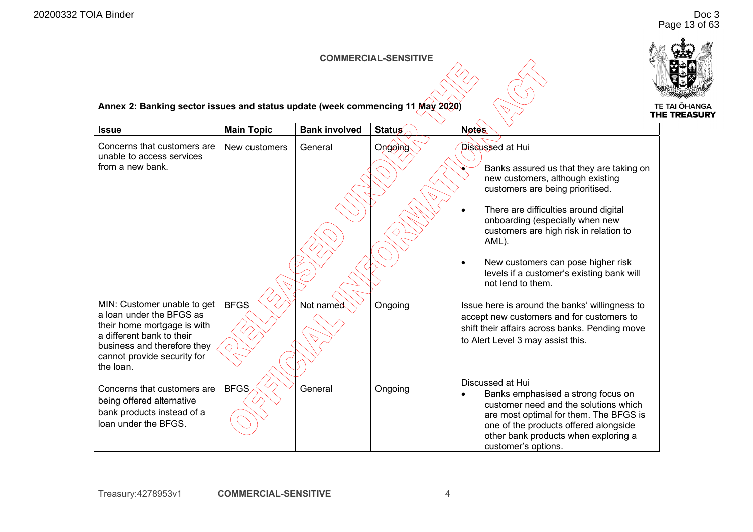# Doc 3 Page 13 of 63

#### **COMMERCIAL-SENSITIVE**

 $\alpha$ 



**Annex 2: Banking sector issues and status update (week commencing 11 May 2020)** 

| <b>Issue</b>                                                                                                                                                                                   | <b>Main Topic</b> | <b>Bank involved</b> | <b>Status</b> | <b>Notes</b>                                                                                                                                                                                                                                                                                                                                                        |
|------------------------------------------------------------------------------------------------------------------------------------------------------------------------------------------------|-------------------|----------------------|---------------|---------------------------------------------------------------------------------------------------------------------------------------------------------------------------------------------------------------------------------------------------------------------------------------------------------------------------------------------------------------------|
| Concerns that customers are<br>unable to access services<br>from a new bank.                                                                                                                   | New customers     | General              | Ongoing       | Discussed at Hui<br>Banks assured us that they are taking on<br>new customers, although existing<br>customers are being prioritised.<br>There are difficulties around digital<br>onboarding (especially when new<br>customers are high risk in relation to<br>AML).<br>New customers can pose higher risk<br>$\bullet$<br>levels if a customer's existing bank will |
| MIN: Customer unable to get<br>a loan under the BFGS as<br>their home mortgage is with<br>a different bank to their<br>business and therefore they<br>cannot provide security for<br>the loan. | <b>BFGS</b>       | Not named            | Ongoing       | not lend to them.<br>Issue here is around the banks' willingness to<br>accept new customers and for customers to<br>shift their affairs across banks. Pending move<br>to Alert Level 3 may assist this.                                                                                                                                                             |
| Concerns that customers are<br>being offered alternative<br>bank products instead of a<br>loan under the BFGS.                                                                                 | <b>BFGS</b>       | General              | Ongoing       | Discussed at Hui<br>Banks emphasised a strong focus on<br>customer need and the solutions which<br>are most optimal for them. The BFGS is<br>one of the products offered alongside<br>other bank products when exploring a<br>customer's options.                                                                                                                   |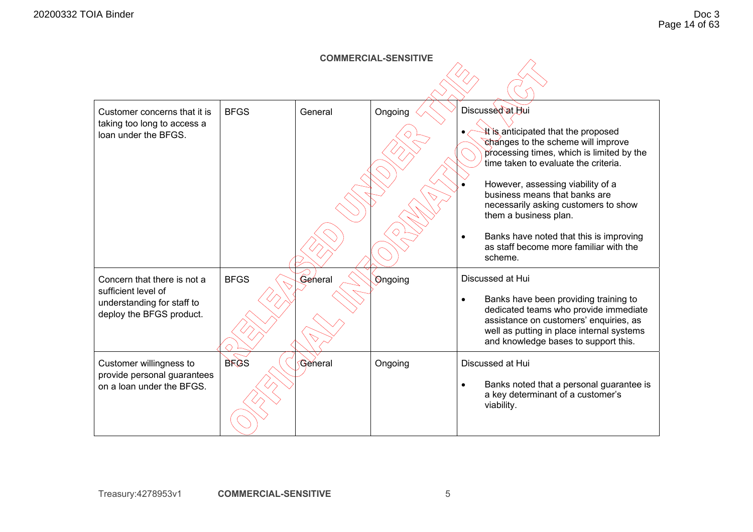| <b>COMMERCIAL-SENSITIVE</b>                                                                                  |             |         |         |                                                                                                                                                                                                                                                                                                                                                                                                                                               |  |  |
|--------------------------------------------------------------------------------------------------------------|-------------|---------|---------|-----------------------------------------------------------------------------------------------------------------------------------------------------------------------------------------------------------------------------------------------------------------------------------------------------------------------------------------------------------------------------------------------------------------------------------------------|--|--|
|                                                                                                              |             |         |         |                                                                                                                                                                                                                                                                                                                                                                                                                                               |  |  |
| Customer concerns that it is<br>taking too long to access a<br>loan under the BFGS.                          | <b>BFGS</b> | General | Ongoing | Discussed at Hui<br><b>If</b> is anticipated that the proposed<br>changes to the scheme will improve<br>processing times, which is limited by the<br>time taken to evaluate the criteria.<br>However, assessing viability of a<br>business means that banks are<br>necessarily asking customers to show<br>them a business plan.<br>Banks have noted that this is improving<br>$\bullet$<br>as staff become more familiar with the<br>scheme. |  |  |
| Concern that there is not a<br>sufficient level of<br>understanding for staff to<br>deploy the BFGS product. | <b>BFGS</b> | General | Ongoing | Discussed at Hui<br>Banks have been providing training to<br>$\bullet$<br>dedicated teams who provide immediate<br>assistance on customers' enquiries, as<br>well as putting in place internal systems<br>and knowledge bases to support this.                                                                                                                                                                                                |  |  |
| Customer willingness to<br>provide personal guarantees<br>on a loan under the BFGS.                          | <b>BFGS</b> | General | Ongoing | Discussed at Hui<br>Banks noted that a personal guarantee is<br>$\bullet$<br>a key determinant of a customer's<br>viability.                                                                                                                                                                                                                                                                                                                  |  |  |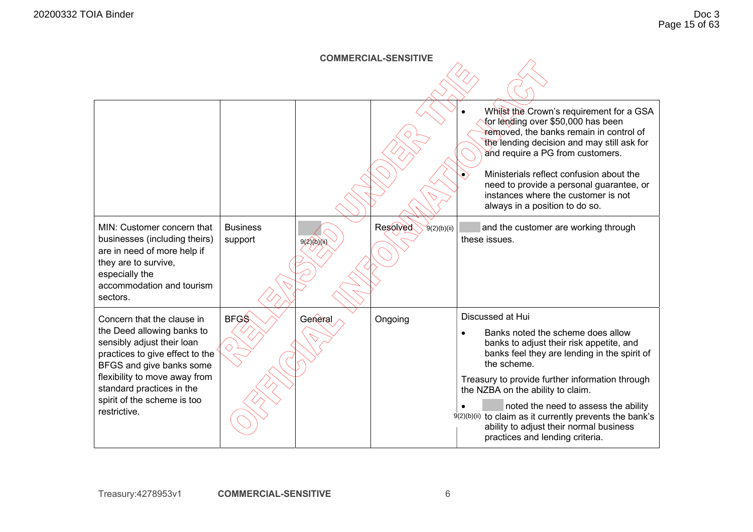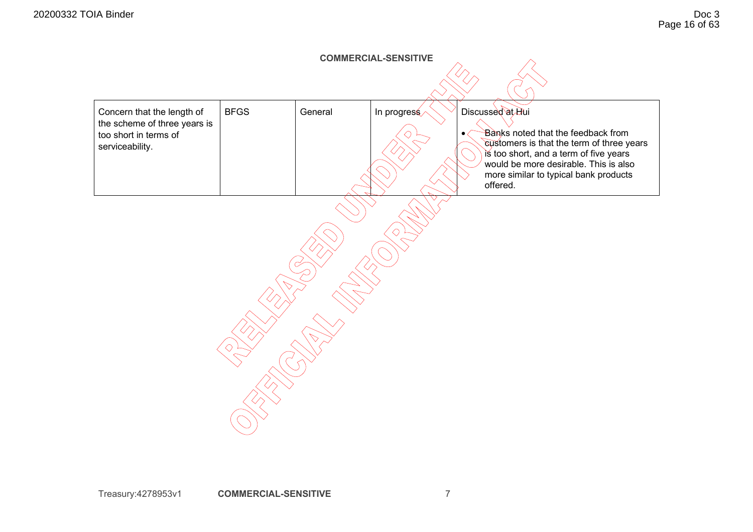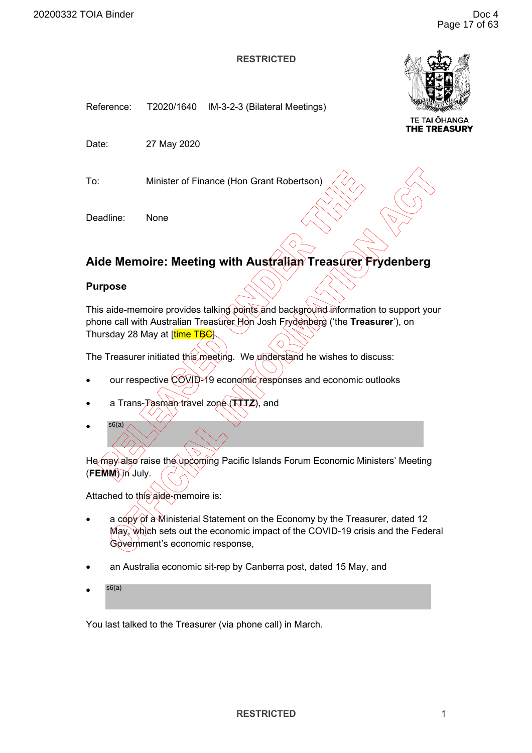<span id="page-20-0"></span>



**TE TAI ŌHANGA** THE TREASURY

Date: 27 May 2020

To: Minister of Finance (Hon Grant Robertson)

Deadline: None

# **Aide Memoire: Meeting with Australian Treasurer Frydenberg**

# **Purpose**

This aide-memoire provides talking points and background information to support your phone call with Australian Treasurer Hon Josh Frydenberg ('the **Treasurer**'), on Thursday 28 May at [time TBG]

The Treasurer initiated this meeting. We understand he wishes to discuss:

- our respective COVID-19 economic responses and economic outlooks
- a Trans-Tasman travel zone (**TTTZ**), and
- s6(a)

He may also raise the upcoming Pacific Islands Forum Economic Ministers' Meeting (FEMM) in July.

Attached to this aide-memoire is:

- a copy of a Ministerial Statement on the Economy by the Treasurer, dated 12 May, which sets out the economic impact of the COVID-19 crisis and the Federal Government's economic response,
- an Australia economic sit-rep by Canberra post, dated 15 May, and
- s6(a)

You last talked to the Treasurer (via phone call) in March.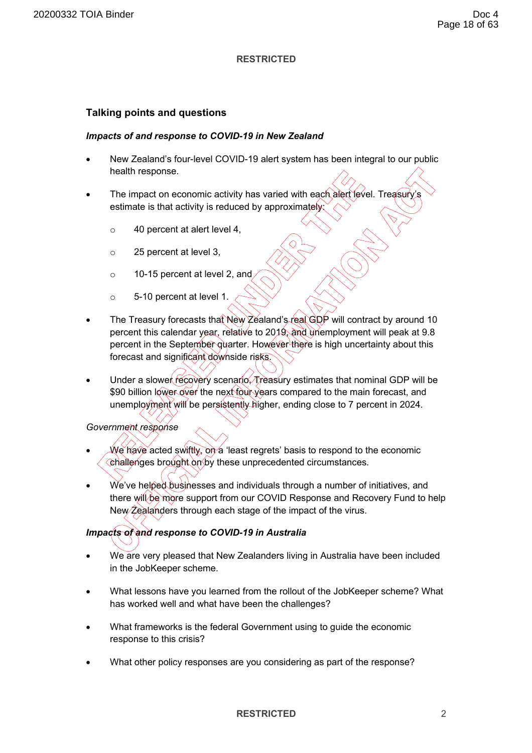# **Talking points and questions**

### *Impacts of and response to COVID-19 in New Zealand*

- New Zealand's four-level COVID-19 alert system has been integral to our public health response.
- The impact on economic activity has varied with each alert level. Treasur estimate is that activity is reduced by approximately
	- o 40 percent at alert level 4,
	- o 25 percent at level 3,
	- o 10-15 percent at level 2, and
	- o 5-10 percent at level 1.
- The Treasury forecasts that New Zealand's real GDP will contract by around 10 percent this calendar year, relative to 2019, and unemployment will peak at 9.8 percent in the September quarter. However there is high uncertainty about this forecast and significant downside risks.
- Under a slower recovery scenario. Treasury estimates that nominal GDP will be \$90 billion lower over the next four years compared to the main forecast, and unemployment will be persistently higher, ending close to 7 percent in 2024.

# *Government response*

- We have acted swiftly, on a 'least regrets' basis to respond to the economic challenges brought on by these unprecedented circumstances.
- We've helped businesses and individuals through a number of initiatives, and there will be more support from our COVID Response and Recovery Fund to help New  $\hat{Z}$ ealanders through each stage of the impact of the virus.

# *Impacts of and response to COVID-19 in Australia*

- We are very pleased that New Zealanders living in Australia have been included in the JobKeeper scheme.
- What lessons have you learned from the rollout of the JobKeeper scheme? What has worked well and what have been the challenges?
- What frameworks is the federal Government using to guide the economic response to this crisis?
- What other policy responses are you considering as part of the response?

### **RESTRICTED** 2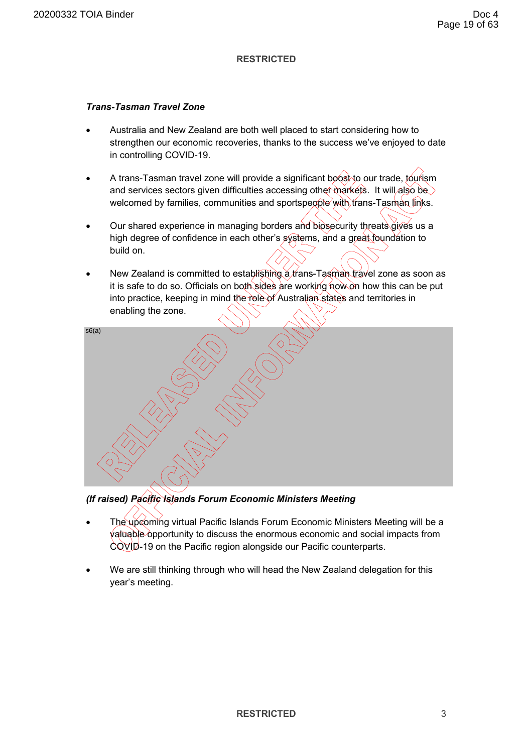# *Trans-Tasman Travel Zone*

- Australia and New Zealand are both well placed to start considering how to strengthen our economic recoveries, thanks to the success we've enjoyed to date in controlling COVID-19.
- A trans-Tasman travel zone will provide a significant boost to our trade, tourism and services sectors given difficulties accessing other markets. It will also be  $\backslash$ welcomed by families, communities and sportspeople with trans-Tasman links.
- Our shared experience in managing borders and biosecurity threats gives us a high degree of confidence in each other's systems, and a great foundation to build on.
- New Zealand is committed to establishing a trans-Tasman travel zone as soon as it is safe to do so. Officials on both sides are working now on how this can be put into practice, keeping in mind the role of Australian states and territories in enabling the zone.



*(If raised) Pacific Islands Forum Economic Ministers Meeting* 

- The upcoming virtual Pacific Islands Forum Economic Ministers Meeting will be a valuable opportunity to discuss the enormous economic and social impacts from COVID-19 on the Pacific region alongside our Pacific counterparts.
- We are still thinking through who will head the New Zealand delegation for this year's meeting.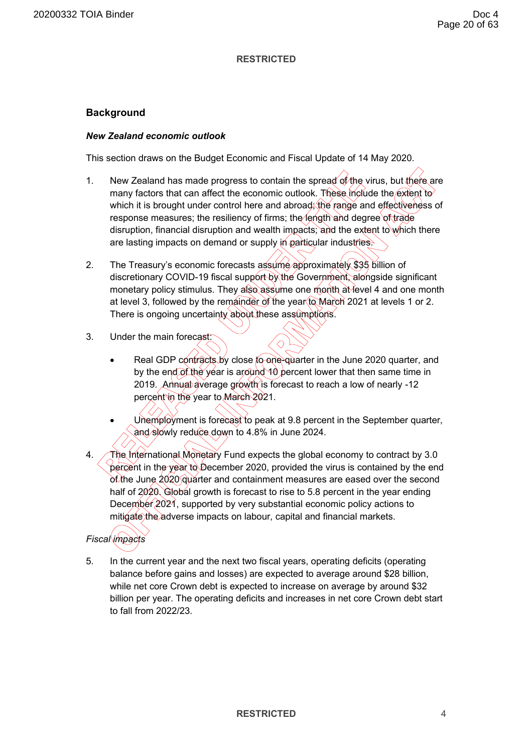# **Background**

# *New Zealand economic outlook*

This section draws on the Budget Economic and Fiscal Update of 14 May 2020.

- 1. New Zealand has made progress to contain the spread of the virus, but there are many factors that can affect the economic outlook. These include the extent to which it is brought under control here and abroad; the range and effectiveness of response measures; the resiliency of firms; the length and degree of trade disruption, financial disruption and wealth impacts; and the extent to which there are lasting impacts on demand or supply in particular industries.
- 2. The Treasury's economic forecasts assume approximately \$35 billion of discretionary COVID-19 fiscal support by the Government, alongside significant monetary policy stimulus. They also assume one month at level 4 and one month at level 3, followed by the remainder of the year to March 2021 at levels 1 or 2. There is ongoing uncertainty about these assumptions.
- 3. Under the main forecast:
	- Real GDP contracts by close to one-quarter in the June 2020 quarter, and by the end of the year is around 10 percent lower that then same time in 2019. Annual average growth is forecast to reach a low of nearly -12 percent in the year to March 2021.
	- Unemployment is forecast to peak at 9.8 percent in the September quarter, and slowly reduce down to 4.8% in June 2024.
- 4. The International Monetary Fund expects the global economy to contract by 3.0  $\sqrt{\text{percent}}$  in the year to December 2020, provided the virus is contained by the end of the June 2020 quarter and containment measures are eased over the second half of 2020. Global growth is forecast to rise to 5.8 percent in the year ending December 2021, supported by very substantial economic policy actions to mitigate the adverse impacts on labour, capital and financial markets.

# *Fiscal impacts*

5. In the current year and the next two fiscal years, operating deficits (operating balance before gains and losses) are expected to average around \$28 billion, while net core Crown debt is expected to increase on average by around \$32 billion per year. The operating deficits and increases in net core Crown debt start to fall from 2022/23.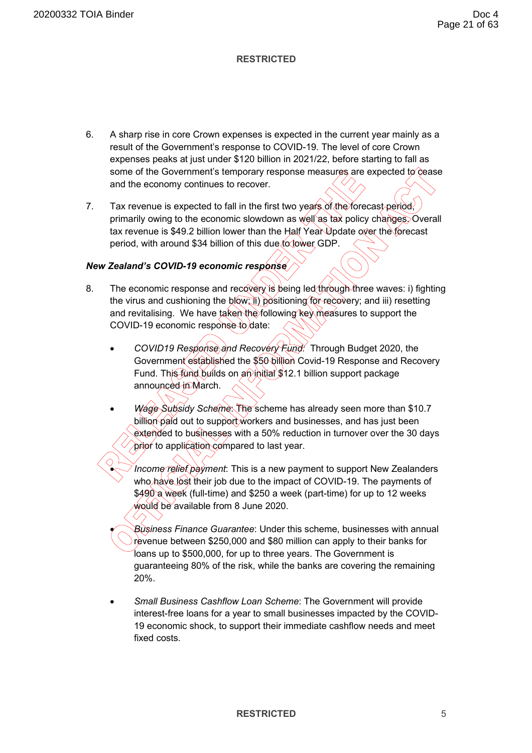- 6. A sharp rise in core Crown expenses is expected in the current year mainly as a result of the Government's response to COVID-19. The level of core Crown expenses peaks at just under \$120 billion in 2021/22, before starting to fall as some of the Government's temporary response measures are expected to  $\hat{\mathcal{C}}$  cease and the economy continues to recover.
- 7. Tax revenue is expected to fall in the first two years of the forecast period, primarily owing to the economic slowdown as well as tax policy changes. Overall tax revenue is \$49.2 billion lower than the Half Year Update over the forecast period, with around \$34 billion of this due to lower GDP.

# *New Zealand's COVID-19 economic response*

- 8. The economic response and recovery is being led  $\frac{4}{\pi}$  by three waves: i) fighting the virus and cushioning the blow; ii) positioning for recovery; and iii) resetting and revitalising. We have taken the following key measures to support the COVID-19 economic response to date:
	- *COVID19 Response and Recovery Fund:* Through Budget 2020, the Government established the \$50 billion Covid-19 Response and Recovery Fund. This fund builds on an initial \$12.1 billion support package announced in March.
	- *Wage Subsidy Scheme*: The scheme has already seen more than \$10.7 billion paid out to support workers and businesses, and has just been extended to businesses with a 50% reduction in turnover over the 30 days prior to application compared to last year.
		- *Income relief payment*: This is a new payment to support New Zealanders who have lost their job due to the impact of COVID-19. The payments of \$490 a week (full-time) and \$250 a week (part-time) for up to 12 weeks would be available from 8 June 2020.

• *Business Finance Guarantee*: Under this scheme, businesses with annual revenue between \$250,000 and \$80 million can apply to their banks for loans up to \$500,000, for up to three years. The Government is guaranteeing 80% of the risk, while the banks are covering the remaining 20%.

• *Small Business Cashflow Loan Scheme*: The Government will provide interest-free loans for a year to small businesses impacted by the COVID-19 economic shock, to support their immediate cashflow needs and meet fixed costs.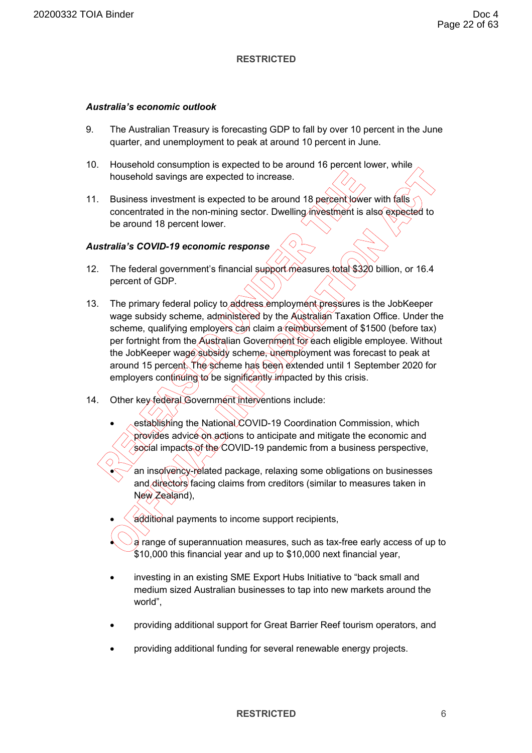### *Australia's economic outlook*

- 9. The Australian Treasury is forecasting GDP to fall by over 10 percent in the June quarter, and unemployment to peak at around 10 percent in June.
- 10. Household consumption is expected to be around 16 percent lower, while household savings are expected to increase.
- 11. Business investment is expected to be around 18 percent lower with falls concentrated in the non-mining sector. Dwelling investment is also expected to be around 18 percent lower.

# *Australia's COVID-19 economic response*

- 12. The federal government's financial support measures total \$320 billion, or 16.4 percent of GDP.
- 13. The primary federal policy to address employment pressures is the JobKeeper wage subsidy scheme, administered by the Australian Taxation Office. Under the scheme, qualifying employers can claim a reimbursement of \$1500 (before tax) per fortnight from the Australian Government for each eligible employee. Without the JobKeeper wage subsidy scheme, unemployment was forecast to peak at around 15 percent. The scheme has been extended until 1 September 2020 for employers continuing to be significantly impacted by this crisis.
- 14. Other key federal Government interventions include:
	- establishing the National COVID-19 Coordination Commission, which provides advice on actions to anticipate and mitigate the economic and social impacts of the COVID-19 pandemic from a business perspective,
		- an insolvency-related package, relaxing some obligations on businesses and directors facing claims from creditors (similar to measures taken in New Zealand),
	- additional payments to income support recipients,
		- a range of superannuation measures, such as tax-free early access of up to \$10,000 this financial year and up to \$10,000 next financial year,
	- investing in an existing SME Export Hubs Initiative to "back small and medium sized Australian businesses to tap into new markets around the world",
	- providing additional support for Great Barrier Reef tourism operators, and
	- providing additional funding for several renewable energy projects.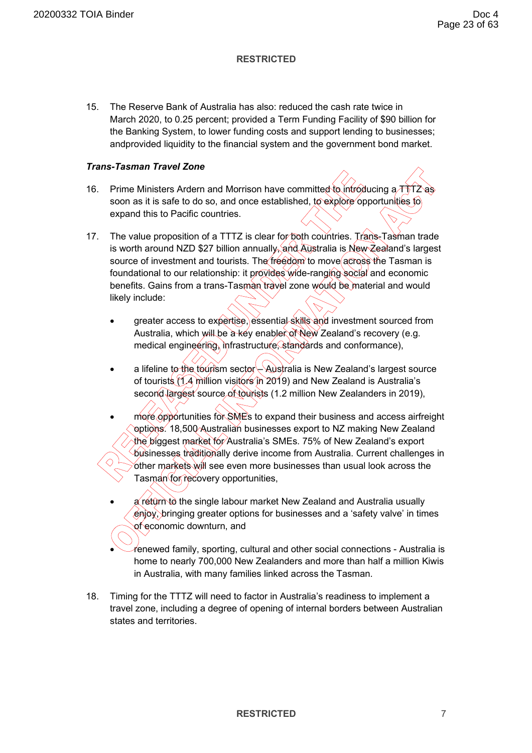15. The Reserve Bank of Australia has also: reduced the cash rate twice in March 2020, to 0.25 percent; provided a Term Funding Facility of \$90 billion for the Banking System, to lower funding costs and support lending to businesses; andprovided liquidity to the financial system and the government bond market.

# *Trans-Tasman Travel Zone*

- 16. Prime Ministers Ardern and Morrison have committed to introducing a  $\tau\overline{\tau}$   $\overline{\tau}$ soon as it is safe to do so, and once established, to explore opportunities to expand this to Pacific countries.
- 17. The value proposition of a TTTZ is clear for both countries. Trans-Tasman trade is worth around NZD \$27 billion annually, and Australia is New Zealand's largest source of investment and tourists. The freedom to move across the Tasman is foundational to our relationship: it provides wide-ranging social and economic benefits. Gains from a trans-Tasman travel zone would be material and would likely include:
	- greater access to expertise, essential skills and investment sourced from Australia, which will be a key enabler of New Zealand's recovery (e.g. medical engineering, infrastructure, standards and conformance),
	- a lifeline to the tourism sector Australia is New Zealand's largest source of tourists (1.4 million visitors in 2019) and New Zealand is Australia's second largest source of tourists (1.2 million New Zealanders in 2019),
	- more opportunities for SMEs to expand their business and access airfreight options. 18,500 Australian businesses export to NZ making New Zealand the biggest market for Australia's SMEs. 75% of New Zealand's export ് $\epsilon$ usinesses traditionally derive income from Australia. Current challenges in other markets will see even more businesses than usual look across the Tasman for recovery opportunities,
	- a return to the single labour market New Zealand and Australia usually enjoy, bringing greater options for businesses and a 'safety valve' in times of economic downturn, and
	- renewed family, sporting, cultural and other social connections Australia is home to nearly 700,000 New Zealanders and more than half a million Kiwis in Australia, with many families linked across the Tasman.
- 18. Timing for the TTTZ will need to factor in Australia's readiness to implement a travel zone, including a degree of opening of internal borders between Australian states and territories.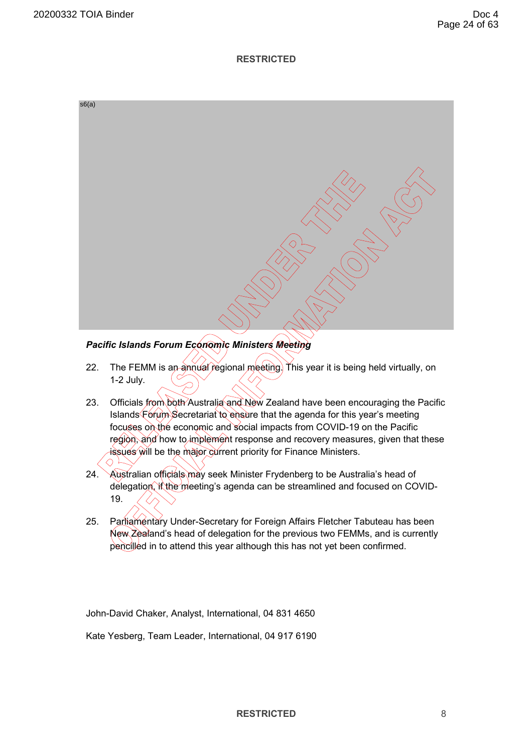

# *Pacific Islands Forum Economic Ministers Meeting*

- 22. The FEMM is an annual regional meeting. This year it is being held virtually, on 1-2 July.
- 23. Officials from both Australia and New Zealand have been encouraging the Pacific Islands Forum Secretariat to ensure that the agenda for this year's meeting focuses on the economic and social impacts from COVID-19 on the Pacific region, and how to implement response and recovery measures, given that these issues will be the major current priority for Finance Ministers.
- 24. Australian officials may seek Minister Frydenberg to be Australia's head of delegation, if the meeting's agenda can be streamlined and focused on COVID-19.
- 25. Parliamentary Under-Secretary for Foreign Affairs Fletcher Tabuteau has been New Zealand's head of delegation for the previous two FEMMs, and is currently pencilled in to attend this year although this has not yet been confirmed.

John-David Chaker, Analyst, International, 04 831 4650

Kate Yesberg, Team Leader, International, 04 917 6190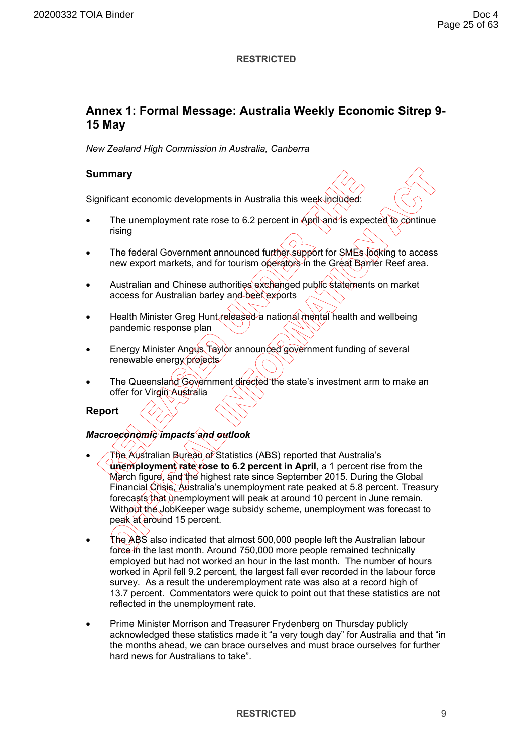# **Annex 1: Formal Message: Australia Weekly Economic Sitrep 9- 15 May**

*New Zealand High Commission in Australia, Canberra* 

# **Summary**

Significant economic developments in Australia this week included:

- The unemployment rate rose to 6.2 percent in April and is expected to continue rising
- The federal Government announced further support for SMEs looking to access new export markets, and for tourism operators in the Great Barrier Reef area.
- Australian and Chinese authorities exchanged public statements on market access for Australian barley and beef exports
- Health Minister Greg Hunt released a national mental health and wellbeing pandemic response plan
- Energy Minister Angus Taylor announced government funding of several renewable energy projects
- The Queensland Government directed the state's investment arm to make an offer for Virgin Australia

**Report** 

# *Macroeconomic impacts and outlook*

- The Australian Bureau of Statistics (ABS) reported that Australia's **unemployment rate rose to 6.2 percent in April**, a 1 percent rise from the March figure, and the highest rate since September 2015. During the Global Financial Crisis, Australia's unemployment rate peaked at 5.8 percent. Treasury forecasts that unemployment will peak at around 10 percent in June remain. Without the JobKeeper wage subsidy scheme, unemployment was forecast to peak at around 15 percent.
- The ABS also indicated that almost 500,000 people left the Australian labour force in the last month. Around 750,000 more people remained technically employed but had not worked an hour in the last month. The number of hours worked in April fell 9.2 percent, the largest fall ever recorded in the labour force survey. As a result the underemployment rate was also at a record high of 13.7 percent. Commentators were quick to point out that these statistics are not reflected in the unemployment rate.
- Prime Minister Morrison and Treasurer Frydenberg on Thursday publicly acknowledged these statistics made it "a very tough day" for Australia and that "in the months ahead, we can brace ourselves and must brace ourselves for further hard news for Australians to take".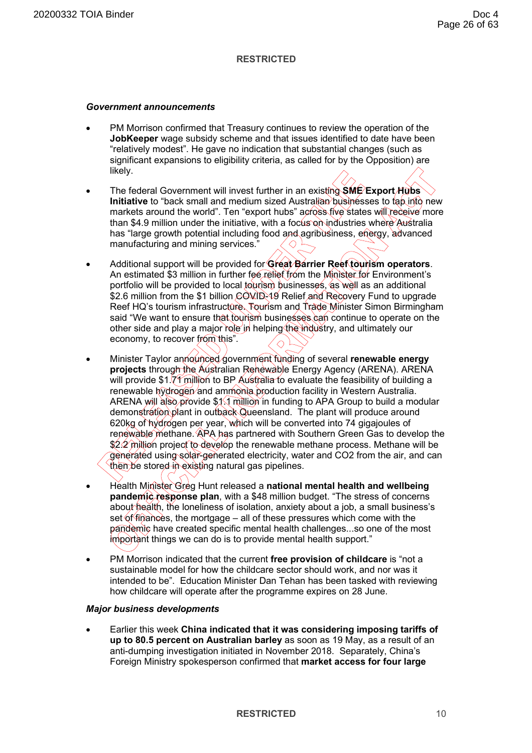#### *Government announcements*

- PM Morrison confirmed that Treasury continues to review the operation of the **JobKeeper** wage subsidy scheme and that issues identified to date have been "relatively modest". He gave no indication that substantial changes (such as significant expansions to eligibility criteria, as called for by the Opposition) are likely.
- The federal Government will invest further in an existing **SME Export Hubs Initiative** to "back small and medium sized Australian businesses to tap into new markets around the world". Ten "export hubs" across five states will receive more than \$4.9 million under the initiative, with a focus on industries where Australia has "large growth potential including food and agribusiness, energy, advanced manufacturing and mining services."
- Additional support will be provided for **Great Barrier Reef tourism operators**. An estimated \$3 million in further fee relief from the Minister for Environment's portfolio will be provided to local to trism businesses, as well as an additional \$2.6 million from the \$1 billion COVID-19 Relief and Recovery Fund to upgrade Reef HQ's tourism infrastructure. Tourism and Trade Minister Simon Birmingham said "We want to ensure that tourism businesses can continue to operate on the other side and play a major role in helping the industry, and ultimately our economy, to recover from this".
- Minister Taylor announced government funding of several **renewable energy projects** through the Australian Renewable Energy Agency (ARENA). ARENA will provide \$1.7 $\frac{1}{7}$  million to BP Australia to evaluate the feasibility of building a renewable hydrogen and ammonia production facility in Western Australia. ARENA will also provide \$1.1 million in funding to APA Group to build a modular demonstration plant in outback Queensland. The plant will produce around 620kg of hydrogen per year, which will be converted into 74 gigajoules of renewable methane. APA has partnered with Southern Green Gas to develop the \$2.2 million project to develop the renewable methane process. Methane will be generated using solar-generated electricity, water and CO2 from the air, and can then be stored in existing natural gas pipelines.
- Health Minister Greg Hunt released a **national mental health and wellbeing pandemic response plan**, with a \$48 million budget. "The stress of concerns about health, the loneliness of isolation, anxiety about a job, a small business's set of finances, the mortgage – all of these pressures which come with the pandemic have created specific mental health challenges...so one of the most important things we can do is to provide mental health support."
- PM Morrison indicated that the current **free provision of childcare** is "not a sustainable model for how the childcare sector should work, and nor was it intended to be". Education Minister Dan Tehan has been tasked with reviewing how childcare will operate after the programme expires on 28 June.

### *Major business developments*

• Earlier this week **China indicated that it was considering imposing tariffs of up to 80.5 percent on Australian barley** as soon as 19 May, as a result of an anti-dumping investigation initiated in November 2018. Separately, China's Foreign Ministry spokesperson confirmed that **market access for four large**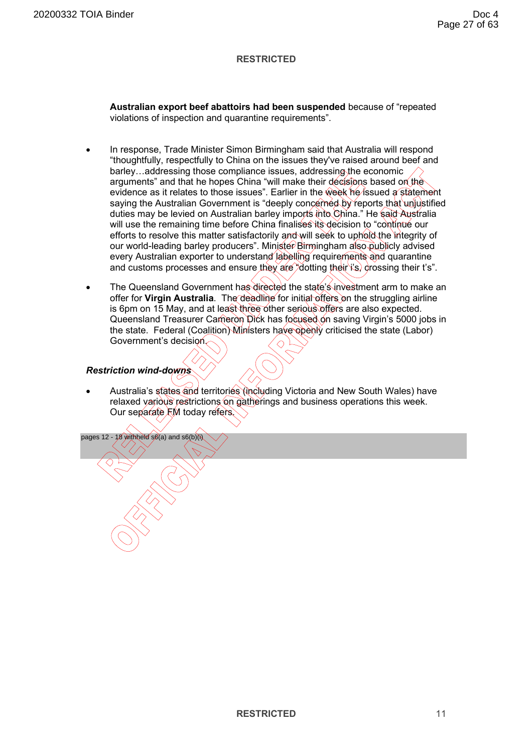**Australian export beef abattoirs had been suspended** because of "repeated violations of inspection and quarantine requirements".

- In response, Trade Minister Simon Birmingham said that Australia will respond "thoughtfully, respectfully to China on the issues they've raised around beef and barley…addressing those compliance issues, addressing the economic arguments" and that he hopes China "will make their decisions based on the evidence as it relates to those issues". Earlier in the week he issued a statement saying the Australian Government is "deeply concerned by reports that unjustified duties may be levied on Australian barley imports into China." He said Australia will use the remaining time before China finalises its decision to "continue our efforts to resolve this matter satisfactorily and will seek to uphold the integrity of our world-leading barley producers". Minister Birmingham also publicly advised every Australian exporter to understand labelling requirements and quarantine and customs processes and ensure they are "dotting their i's) crossing their t's".
- The Queensland Government has directed the state's investment arm to make an offer for **Virgin Australia**. The deadline for initial offers on the struggling airline is 6pm on 15 May, and at least three other serious offers are also expected. Queensland Treasurer Cameron Dick has focused on saving Virgin's 5000 jobs in the state. Federal (Coalition) Ministers have openly criticised the state (Labor) Government's decision.

# *Restriction wind-downs*

• Australia's states and territories (including Victoria and New South Wales) have relaxed various restrictions on gatherings and business operations this week. Our separate FM today refers.

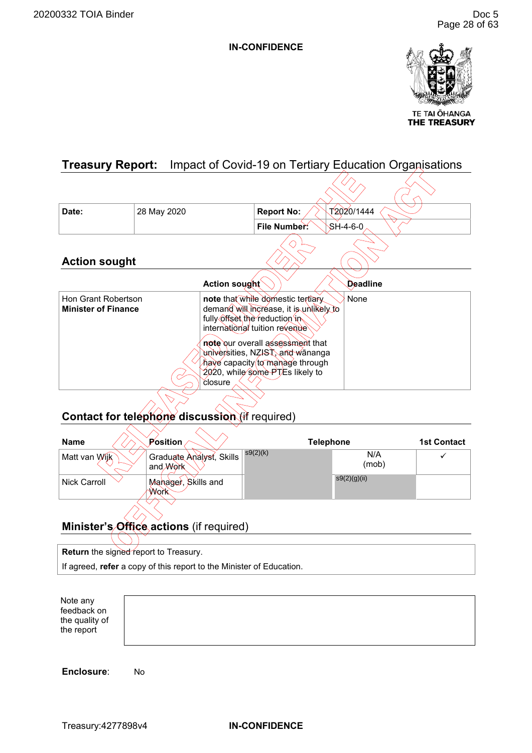

**THE TREASURY** 

# <span id="page-31-0"></span>**Treasury Report:** Impact of Covid-19 on Tertiary Education Organisations

| Date:                                             | 28 May 2020 | T2020/1444<br><b>Report No:</b>                                                                                                                                                                                                                                                                                               |
|---------------------------------------------------|-------------|-------------------------------------------------------------------------------------------------------------------------------------------------------------------------------------------------------------------------------------------------------------------------------------------------------------------------------|
|                                                   |             | $$H-4-6-0$<br>File Number:                                                                                                                                                                                                                                                                                                    |
| <b>Action sought</b>                              |             |                                                                                                                                                                                                                                                                                                                               |
|                                                   |             | <b>Action sought</b><br>Deadline                                                                                                                                                                                                                                                                                              |
| Hon Grant Robertson<br><b>Minister of Finance</b> |             | note that while domestic tertiary<br>None<br>demand will increase, it is unlikely to<br>fully offset the reduction in<br>international tuition revenue<br>note our overall assessment that<br>∖universities, NZ <del>IS</del> T, and wānanga<br>have capacity to manage through<br>2020, while some PTEs likely to<br>closure |

# **Contact for telephone discussion** (if required)

| <b>Name</b>         | Position                                    | <b>Telephone</b> |              | <b>1st Contact</b> |
|---------------------|---------------------------------------------|------------------|--------------|--------------------|
| Matt van Wijk       | Graduate Analyst, Skills<br>and <b>Work</b> | s9(2)(k)         | N/A<br>(mob) |                    |
| <b>Nick Carroll</b> | Mahager, Skills and<br>Work                 |                  | s9(2)(g)(ii) |                    |
|                     |                                             |                  |              |                    |

# **Minister's Office actions** (if required)

**Return** the signed report to Treasury.

If agreed, **refer** a copy of this report to the Minister of Education.

Note any feedback on the quality of the report

**Enclosure**: No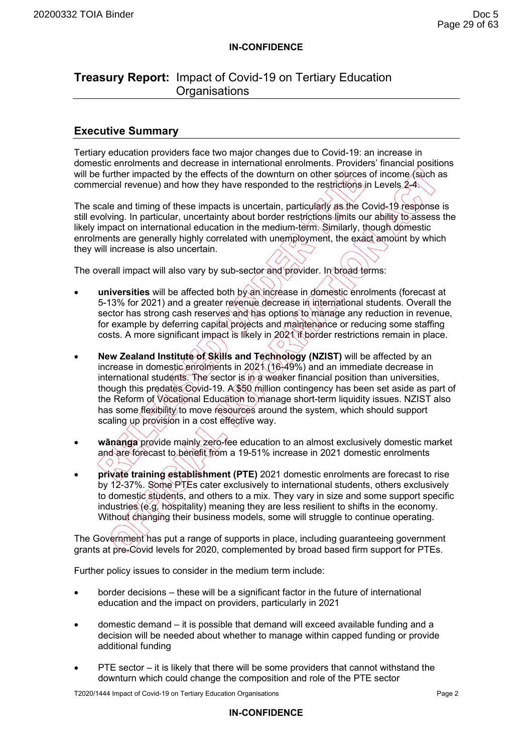# **Treasury Report:** Impact of Covid-19 on Tertiary Education **Organisations**

# **Executive Summary**

Tertiary education providers face two major changes due to Covid-19: an increase in domestic enrolments and decrease in international enrolments. Providers' financial positions will be further impacted by the effects of the downturn on other sources of income (such as commercial revenue) and how they have responded to the restrictions in Levels  $2-4$ .

The scale and timing of these impacts is uncertain, particularly as the Covid-19 response is still evolving. In particular, uncertainty about border restrictions limits our ability to assess the likely impact on international education in the medium-term. Similarly, though domestic enrolments are generally highly correlated with unemployment, the exact amount by which they will increase is also uncertain.

The overall impact will also vary by sub-sector and provider. In broad terms:

- **universities** will be affected both by an increase in domestic enrolments (forecast at 5-13% for 2021) and a greater revenue decrease in international students. Overall the sector has strong cash reserves and has options to manage any reduction in revenue, for example by deferring capital projects and maintenance or reducing some staffing costs. A more significant impact is likely in 2021 if border restrictions remain in place.
- **New Zealand Institute of Skills and Technology (NZIST)** will be affected by an increase in domestic enrolments in 2021 (16-49%) and an immediate decrease in international students. The sector is in a weaker financial position than universities, though this predates Covid-19. A \$60 million contingency has been set aside as part of the Reform of Vocational Education to manage short-term liquidity issues. NZIST also has some flexibility to move resources around the system, which should support scaling up provision in a cost effective way.
- wānanga provide mainly zero-fee education to an almost exclusively domestic market and are forecast to benefit from a 19-51% increase in 2021 domestic enrolments  $\langle$   $\bigcirc$  .
- **private training establishment (PTE)** 2021 domestic enrolments are forecast to rise by 12-37%. Some PTEs cater exclusively to international students, others exclusively to domestic students, and others to a mix. They vary in size and some support specific industries (e.g. hospitality) meaning they are less resilient to shifts in the economy. Without changing their business models, some will struggle to continue operating.

The Government has put a range of supports in place, including guaranteeing government grants at pre-Covid levels for 2020, complemented by broad based firm support for PTEs.

Further policy issues to consider in the medium term include:

- border decisions these will be a significant factor in the future of international education and the impact on providers, particularly in 2021
- domestic demand it is possible that demand will exceed available funding and a decision will be needed about whether to manage within capped funding or provide additional funding
- PTE sector it is likely that there will be some providers that cannot withstand the downturn which could change the composition and role of the PTE sector

T2020/1444 Impact of Covid-19 on Tertiary Education Organisations Page 2

### **IN-CONFIDENCE**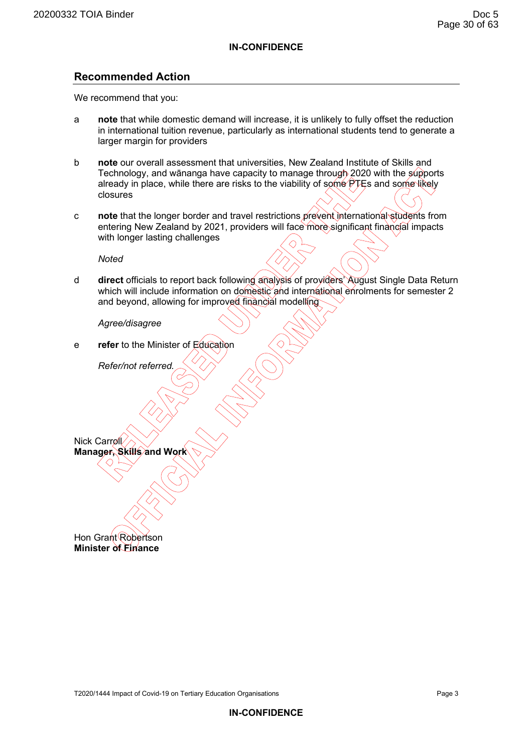# **Recommended Action**

We recommend that you:

- a **note** that while domestic demand will increase, it is unlikely to fully offset the reduction in international tuition revenue, particularly as international students tend to generate a larger margin for providers
- b **note** our overall assessment that universities, New Zealand Institute of Skills and Technology, and wānanga have capacity to manage through 2020 with the supports already in place, while there are risks to the viability of some  $PTEs$  and some likely closures
- c **note** that the longer border and travel restrictions prevent international students from entering New Zealand by 2021, providers will face more significant financial impacts with longer lasting challenges

*Noted* 

d **direct** officials to report back following analysis of providers' August Single Data Return which will include information on domestic and international enrolments for semester 2 and beyond, allowing for improved financial modelling

*Agree/disagree* 

e **refer** to the Minister of Education

 *Refer/not referred.* 

**Manager, Skills and Work** 

Hon Grant Robertson **Minister of Finance** 

Nick Carroll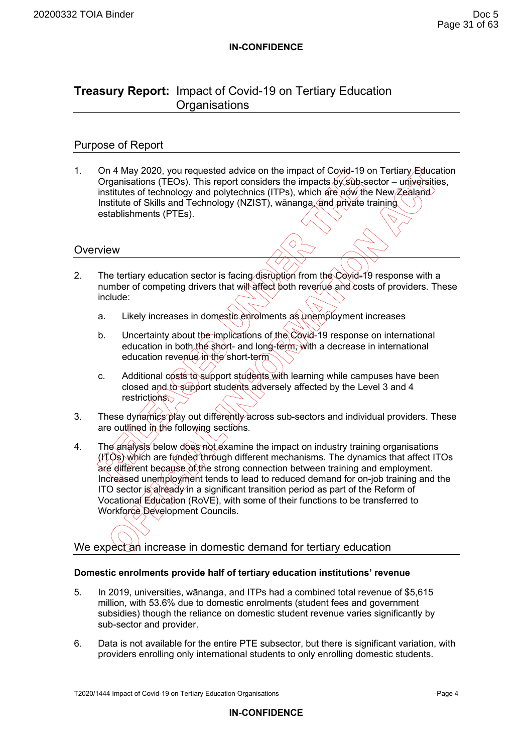# **Treasury Report:** Impact of Covid-19 on Tertiary Education **Organisations**

# Purpose of Report

1. On 4 May 2020, you requested advice on the impact of Coyid-19 on Tertiary Education Organisations (TEOs). This report considers the impacts  $\frac{dy}{s}$  (sub-sector – universities, institutes of technology and polytechnics (ITPs), which are now the New Zealand Institute of Skills and Technology (NZIST), wānanga, and private training establishments (PTEs).

# **Overview**

- 2. The tertiary education sector is facing disruption from the Covid-19 response with a number of competing drivers that will affect both revenue and costs of providers. These include:
	- a. Likely increases in domestic enrolments as unemployment increases
	- b. Uncertainty about the implications of the Covid-19 response on international education in both the short- and long-term, with a decrease in international education revenue in the short-term
	- c. Additional costs to support students with learning while campuses have been closed and to support students adversely affected by the Level 3 and 4 restrictions
- 3. These dynamics play out differently across sub-sectors and individual providers. These are outlined in the following sections.
- 4. The analysis below does not examine the impact on industry training organisations  $(17Qs)$  which are funded through different mechanisms. The dynamics that affect ITOs are different because of the strong connection between training and employment. Increased unemployment tends to lead to reduced demand for on-job training and the ITO sector is already in a significant transition period as part of the Reform of Vocational Education (RoVE), with some of their functions to be transferred to Workforce Development Councils.

We expect an increase in domestic demand for tertiary education

### **Domestic enrolments provide half of tertiary education institutions' revenue**

- 5. In 2019, universities, wānanga, and ITPs had a combined total revenue of \$5,615 million, with 53.6% due to domestic enrolments (student fees and government subsidies) though the reliance on domestic student revenue varies significantly by sub-sector and provider.
- 6. Data is not available for the entire PTE subsector, but there is significant variation, with providers enrolling only international students to only enrolling domestic students.

T2020/1444 Impact of Covid-19 on Tertiary Education Organisations **Page 4** Page 4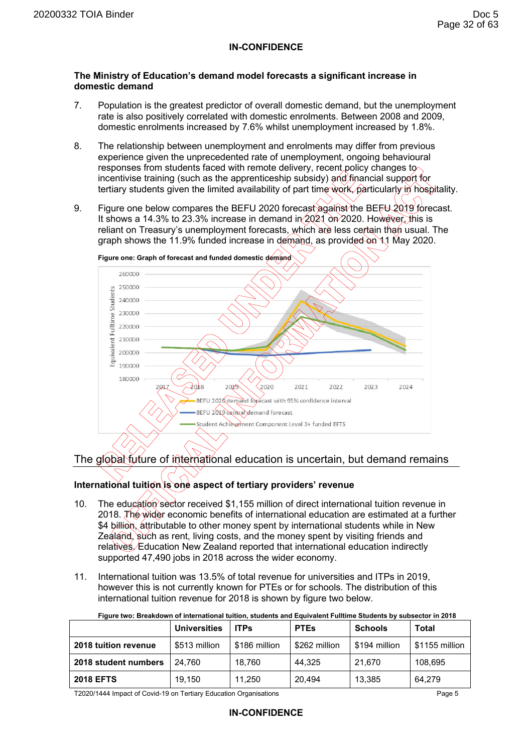#### **The Ministry of Education's demand model forecasts a significant increase in domestic demand**

- 7. Population is the greatest predictor of overall domestic demand, but the unemployment rate is also positively correlated with domestic enrolments. Between 2008 and 2009, domestic enrolments increased by 7.6% whilst unemployment increased by 1.8%.
- 8. The relationship between unemployment and enrolments may differ from previous experience given the unprecedented rate of unemployment, ongoing behavioural responses from students faced with remote delivery, recent policy changes to incentivise training (such as the apprenticeship subsidy) and financial support for tertiary students given the limited availability of part time work, particularly in hospitality.
- 9. Figure one below compares the BEFU 2020 forecast against the BEFU 2019 forecast. It shows a 14.3% to 23.3% increase in demand in  $2021$  on 2020. However, this is reliant on Treasury's unemployment forecasts, which are less certain than usual. The graph shows the 11.9% funded increase in demand, as provided on 11 May 2020.



# The global future of international education is uncertain, but demand remains

# International tuition is one aspect of tertiary providers' revenue

- 10. The education sector received \$1,155 million of direct international tuition revenue in 2018. The wider economic benefits of international education are estimated at a further \$4 billion, attributable to other money spent by international students while in New Zealand, such as rent, living costs, and the money spent by visiting friends and relatives. Education New Zealand reported that international education indirectly supported 47,490 jobs in 2018 across the wider economy.
- 11. International tuition was 13.5% of total revenue for universities and ITPs in 2019, however this is not currently known for PTEs or for schools. The distribution of this international tuition revenue for 2018 is shown by figure two below.

|                      | <b>Universities</b> | <b>ITPs</b>   | <b>PTEs</b>   | <b>Schools</b> | Total          |
|----------------------|---------------------|---------------|---------------|----------------|----------------|
| 2018 tuition revenue | \$513 million       | \$186 million | \$262 million | \$194 million  | \$1155 million |
| 2018 student numbers | 24.760              | 18.760        | 44.325        | 21.670         | 108.695        |
| <b>2018 EFTS</b>     | 19.150              | 11.250        | 20.494        | 13,385         | 64.279         |

**Figure two: Breakdown of international tuition, students and Equivalent Fulltime Students by subsector in 2018** 

T2020/1444 Impact of Covid-19 on Tertiary Education Organisations Page 5

### **IN-CONFIDENCE**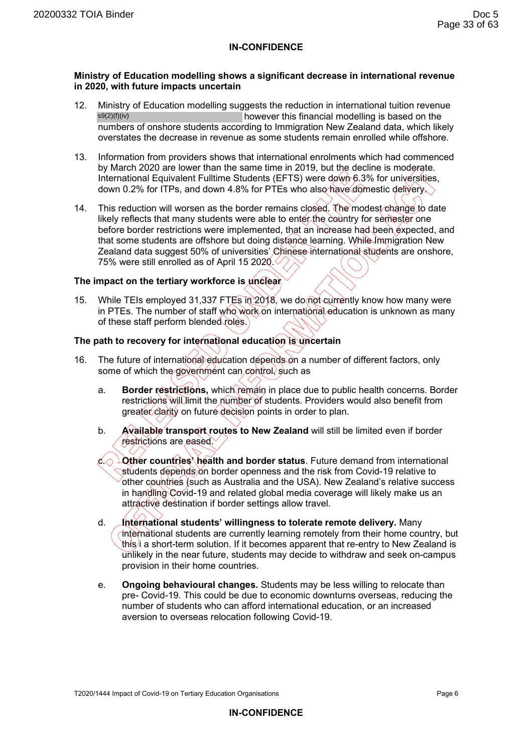#### **Ministry of Education modelling shows a significant decrease in international revenue in 2020, with future impacts uncertain**

- 12. Ministry of Education modelling suggests the reduction in international tuition revenue however this financial modelling is based on the numbers of onshore students according to Immigration New Zealand data, which likely overstates the decrease in revenue as some students remain enrolled while offshore. s9(2)(f)(iv)
- 13. Information from providers shows that international enrolments which had commenced by March 2020 are lower than the same time in 2019, but the decline is moderate. International Equivalent Fulltime Students (EFTS) were down 6.3% for universities, down 0.2% for ITPs, and down 4.8% for PTEs who also have domestic delivery.
- 14. This reduction will worsen as the border remains closed. The modest change to date likely reflects that many students were able to enter the country for semester one before border restrictions were implemented, that an increase had been expected, and that some students are offshore but doing distance learning. While Immigration New Zealand data suggest 50% of universities' Chinese international students are onshore, 75% were still enrolled as of April 15 2020. $\Diamond$

#### **The impact on the tertiary workforce is unclear**

15. While TEIs employed 31,337 FTEs in 2018, we do not currently know how many were in PTEs. The number of staff who work on international education is unknown as many of these staff perform blended roles.)

#### **The path to recovery for international education is uncertain**

- 16. The future of international education depends on a number of different factors, only some of which the government can control, such as
	- a. **Border restrictions,** which remain in place due to public health concerns. Border restrictions will limit the number of students. Providers would also benefit from greater clarity on future decision points in order to plan.
	- b. **Available transport routes to New Zealand** will still be limited even if border restrictions are eased.
	- $c \odot$  **Lother countries' health and border status**. Future demand from international students depends on border openness and the risk from Covid-19 relative to other countries (such as Australia and the USA). New Zealand's relative success in handling Covid-19 and related global media coverage will likely make us an attractive destination if border settings allow travel.
	- d. **International students' willingness to tolerate remote delivery.** Many international students are currently learning remotely from their home country, but this i a short-term solution. If it becomes apparent that re-entry to New Zealand is unlikely in the near future, students may decide to withdraw and seek on-campus provision in their home countries.
	- e. **Ongoing behavioural changes.** Students may be less willing to relocate than pre- Covid-19. This could be due to economic downturns overseas, reducing the number of students who can afford international education, or an increased aversion to overseas relocation following Covid-19.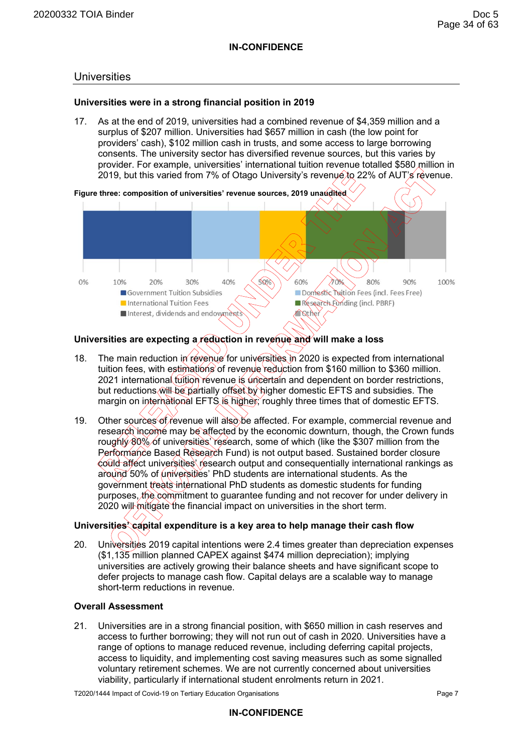### **Universities**

#### **Universities were in a strong financial position in 2019**

17. As at the end of 2019, universities had a combined revenue of \$4,359 million and a surplus of \$207 million. Universities had \$657 million in cash (the low point for providers' cash), \$102 million cash in trusts, and some access to large borrowing consents. The university sector has diversified revenue sources, but this varies by provider. For example, universities' international tuition revenue totalled \$580 million in 2019, but this varied from 7% of Otago University's revenue to 22% of AUT's revenue.



### **Universities are expecting a reduction in revenue and will make a loss**

- 18. The main reduction in revenue for universities in 2020 is expected from international tuition fees, with estimations of revenue reduction from \$160 million to \$360 million. 2021 international tuition revenue is uncertain and dependent on border restrictions, but reductions will be partially offset by higher domestic EFTS and subsidies. The margin on international EFTS is higher; roughly three times that of domestic EFTS.
- 19. Other sources of revenue will also be affected. For example, commercial revenue and research income may be affected by the economic downturn, though, the Crown funds roughly 80% of universities' research, some of which (like the \$307 million from the Performance Based Research Fund) is not output based. Sustained border closure could affect universities' research output and consequentially international rankings as around 50% of universities' PhD students are international students. As the government treats international PhD students as domestic students for funding purposes, the commitment to guarantee funding and not recover for under delivery in 2020 will mitigate the financial impact on universities in the short term.

# **Universities' capital expenditure is a key area to help manage their cash flow**

20. Universities 2019 capital intentions were 2.4 times greater than depreciation expenses (\$1,135 million planned CAPEX against \$474 million depreciation); implying universities are actively growing their balance sheets and have significant scope to defer projects to manage cash flow. Capital delays are a scalable way to manage short-term reductions in revenue.

#### **Overall Assessment**

21. Universities are in a strong financial position, with \$650 million in cash reserves and access to further borrowing; they will not run out of cash in 2020. Universities have a range of options to manage reduced revenue, including deferring capital projects, access to liquidity, and implementing cost saving measures such as some signalled voluntary retirement schemes. We are not currently concerned about universities viability, particularly if international student enrolments return in 2021.

T2020/1444 Impact of Covid-19 on Tertiary Education Organisations **Page 7** Page 7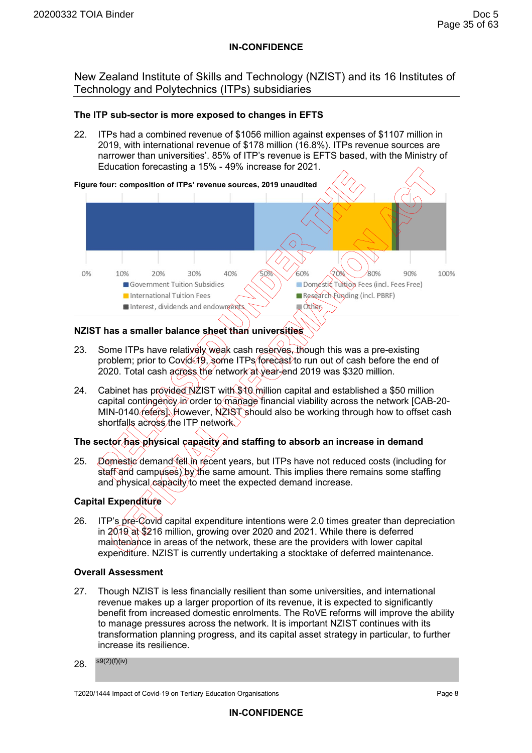New Zealand Institute of Skills and Technology (NZIST) and its 16 Institutes of Technology and Polytechnics (ITPs) subsidiaries

## **The ITP sub-sector is more exposed to changes in EFTS**

22. ITPs had a combined revenue of \$1056 million against expenses of \$1107 million in 2019, with international revenue of \$178 million (16.8%). ITPs revenue sources are narrower than universities'. 85% of ITP's revenue is EFTS based, with the Ministry of Education forecasting a 15% - 49% increase for 2021.



# **NZIST has a smaller balance sheet than universities**

- 23. Some ITPs have relatively weak cash reserves, though this was a pre-existing problem; prior to Covid-19, some ITPs forecast to run out of cash before the end of 2020. Total cash across the network at year-end 2019 was \$320 million.
- 24. Cabinet has provided NZIST with \$10 million capital and established a \$50 million capital contingency in order to manage financial viability across the network [CAB-20- MIN-0140 refers). However, NZIST should also be working through how to offset cash shortfalls across the ITP network.

# **The sector has physical capacity and staffing to absorb an increase in demand**

25. Domestic demand fell in recent years, but ITPs have not reduced costs (including for staff and campuses) by the same amount. This implies there remains some staffing and physical capacity to meet the expected demand increase.

# **Capital Expenditure**

26. ITP's pre-Covid capital expenditure intentions were 2.0 times greater than depreciation in 2019 at \$216 million, growing over 2020 and 2021. While there is deferred maintenance in areas of the network, these are the providers with lower capital expenditure. NZIST is currently undertaking a stocktake of deferred maintenance.

### **Overall Assessment**

- 27. Though NZIST is less financially resilient than some universities, and international revenue makes up a larger proportion of its revenue, it is expected to significantly benefit from increased domestic enrolments. The RoVE reforms will improve the ability to manage pressures across the network. It is important NZIST continues with its transformation planning progress, and its capital asset strategy in particular, to further increase its resilience.
- 28. s9(2)(f)(iv)

T2020/1444 Impact of Covid-19 on Tertiary Education Organisations Page 8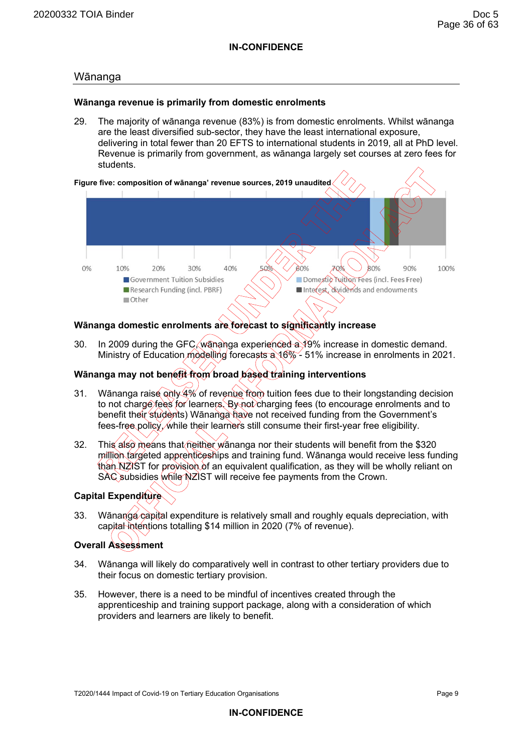## Wānanga

#### **Wānanga revenue is primarily from domestic enrolments**

29. The majority of wānanga revenue (83%) is from domestic enrolments. Whilst wānanga are the least diversified sub-sector, they have the least international exposure, delivering in total fewer than 20 EFTS to international students in 2019, all at PhD level. Revenue is primarily from government, as wānanga largely set courses at zero fees for students.



# **Wānanga domestic enrolments are forecast to significantly increase**

30. In 2009 during the GFC, wananga experienced a 19% increase in domestic demand. Ministry of Education modelling forecasts a 16% - 51% increase in enrolments in 2021.

# **Wānanga may not benefit from broad based training interventions**

- 31. Wānanga raise only 4% of revenue from tuition fees due to their longstanding decision to not charge fees for learners. By not charging fees (to encourage enrolments and to benefit their students) Wānanga have not received funding from the Government's fees-free policy, while their learners still consume their first-year free eligibility.
- 32. This also means that neither wananga nor their students will benefit from the \$320 million targeted apprenticeships and training fund. Wānanga would receive less funding than NZIST for provision of an equivalent qualification, as they will be wholly reliant on SAC subsidies while NZIST will receive fee payments from the Crown.

# **Capital Expenditure**

33. Wānanga capital expenditure is relatively small and roughly equals depreciation, with capital intentions totalling \$14 million in 2020 (7% of revenue).

# **Overall Assessment**

- 34. Wānanga will likely do comparatively well in contrast to other tertiary providers due to their focus on domestic tertiary provision.
- 35. However, there is a need to be mindful of incentives created through the apprenticeship and training support package, along with a consideration of which providers and learners are likely to benefit.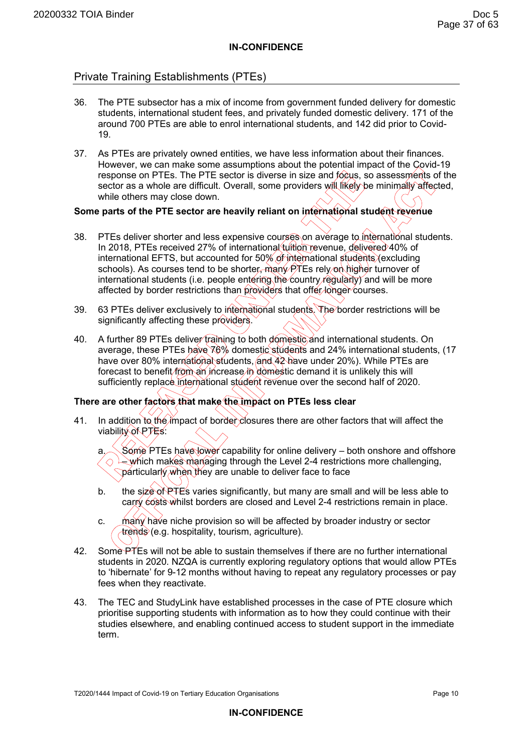# Private Training Establishments (PTEs)

- 36. The PTE subsector has a mix of income from government funded delivery for domestic students, international student fees, and privately funded domestic delivery. 171 of the around 700 PTEs are able to enrol international students, and 142 did prior to Covid-19.
- 37. As PTEs are privately owned entities, we have less information about their finances. However, we can make some assumptions about the potential impact of the Covid-19 response on PTEs. The PTE sector is diverse in size and focus, so assessments of the sector as a whole are difficult. Overall, some providers will likely be minimally affected, while others may close down.

# **Some parts of the PTE sector are heavily reliant on international student revenue**

- 38. PTEs deliver shorter and less expensive courses on average to international students. In 2018, PTEs received 27% of international tuition revenue, delivered 40% of international EFTS, but accounted for 50% of international students (excluding schools). As courses tend to be shorter, many  $\widehat{P}$ TEs rely on higher turnover of international students (i.e. people entering the country regularly) and will be more affected by border restrictions than providers that offer longer courses.
- 39. 63 PTEs deliver exclusively to international students. The border restrictions will be significantly affecting these providers.
- 40. A further 89 PTEs deliver training to both domestic and international students. On average, these PTEs have 76% domestic students and 24% international students, (17 have over 80% international students, and 42 have under 20%). While PTEs are forecast to benefit from an increase in domestic demand it is unlikely this will sufficiently replace international student revenue over the second half of 2020.

### **There are other factors that make the impact on PTEs less clear**

41. In addition to the impact of border closures there are other factors that will affect the viability of PTEs:

a. Some PTEs have lower capability for online delivery – both onshore and offshore  $\lambda$  which makes managing through the Level 2-4 restrictions more challenging,  $\Diamond$ particularly when they are unable to deliver face to face

- b. the size of PTEs varies significantly, but many are small and will be less able to carry costs whilst borders are closed and Level 2-4 restrictions remain in place.
- c. many have niche provision so will be affected by broader industry or sector trends (e.g. hospitality, tourism, agriculture).
- 42. Some PTEs will not be able to sustain themselves if there are no further international students in 2020. NZQA is currently exploring regulatory options that would allow PTEs to 'hibernate' for 9-12 months without having to repeat any regulatory processes or pay fees when they reactivate.
- 43. The TEC and StudyLink have established processes in the case of PTE closure which prioritise supporting students with information as to how they could continue with their studies elsewhere, and enabling continued access to student support in the immediate term.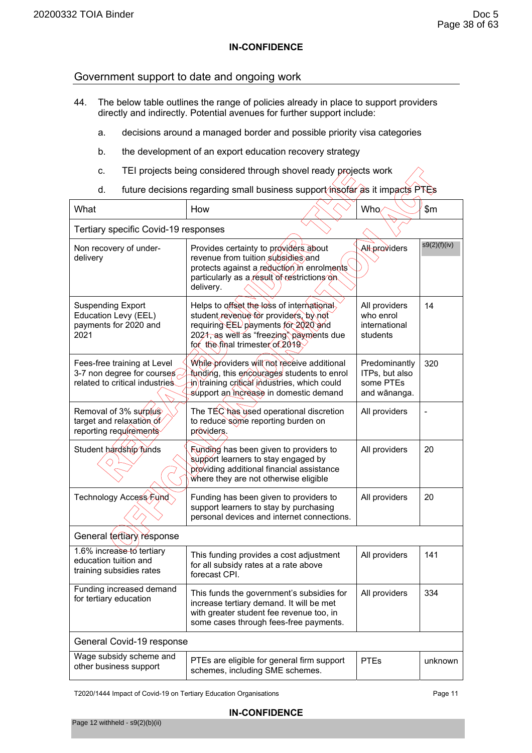$\overline{\phantom{0}}$ 

# Government support to date and ongoing work

- 44. The below table outlines the range of policies already in place to support providers directly and indirectly. Potential avenues for further support include:
	- a. decisions around a managed border and possible priority visa categories
	- b. the development of an export education recovery strategy
	- c. TEI projects being considered through shovel ready projects work
	- d. future decisions regarding small business support insofar as it impacts PTEs

| What                                                                                        | How                                                                                                                                                                                                      |  | Who                                                          | \$m\$        |  |  |
|---------------------------------------------------------------------------------------------|----------------------------------------------------------------------------------------------------------------------------------------------------------------------------------------------------------|--|--------------------------------------------------------------|--------------|--|--|
| Tertiary specific Covid-19 responses                                                        |                                                                                                                                                                                                          |  |                                                              |              |  |  |
| Non recovery of under-<br>delivery                                                          | Provides certainty to providers about<br>revenue from tuition subsidies and<br>protects against a reduction in enrolments<br>particularly as a result of restrictions on<br>delivery.                    |  | Altproviders                                                 | s9(2)(f)(iv) |  |  |
| <b>Suspending Export</b><br>Education Levy (EEL)<br>payments for 2020 and<br>2021           | Helps to offset the loss of international<br>student revenue for providers, by not<br>requiring EEL payments for 2020 and<br>2021, as well as "freezing" payments due<br>for the final trimester of 2019 |  | All providers<br>who enrol<br>international<br>students      | 14           |  |  |
| Fees-free training at Level<br>3-7 non degree for courses<br>related to critical industries | While providers will not receive additional<br>funding, this encourages students to enrol<br>jn)training critical industries, which could<br>support an increase in domestic demand                      |  | Predominantly<br>ITPs, but also<br>some PTEs<br>and wānanga. | 320          |  |  |
| Removal of 3% surplus<br>target and relaxation of<br>reporting requirements                 | The TEC has used operational discretion<br>to reduce some reporting burden on<br>providers.                                                                                                              |  | All providers                                                |              |  |  |
| Student hardship funds                                                                      | <b>Runding has been given to providers to</b><br>support learners to stay engaged by<br>providing additional financial assistance<br>Where they are not otherwise eligible                               |  | All providers                                                | 20           |  |  |
| Technology Access Fund                                                                      | Funding has been given to providers to<br>support learners to stay by purchasing<br>personal devices and internet connections.                                                                           |  | All providers                                                | 20           |  |  |
| General tertiary response                                                                   |                                                                                                                                                                                                          |  |                                                              |              |  |  |
| 1.6% increase to tertiary<br>education tuition and<br>training subsidies rates              | This funding provides a cost adjustment<br>for all subsidy rates at a rate above<br>forecast CPI.                                                                                                        |  | All providers                                                | 141          |  |  |
| Funding increased demand<br>for tertiary education                                          | This funds the government's subsidies for<br>increase tertiary demand. It will be met<br>with greater student fee revenue too, in<br>some cases through fees-free payments.                              |  | All providers                                                | 334          |  |  |
| General Covid-19 response                                                                   |                                                                                                                                                                                                          |  |                                                              |              |  |  |
| Wage subsidy scheme and<br>other business support                                           | PTEs are eligible for general firm support<br>schemes, including SME schemes.                                                                                                                            |  | <b>PTEs</b>                                                  | unknown      |  |  |

T2020/1444 Impact of Covid-19 on Tertiary Education Organisations **Page 11** Page 11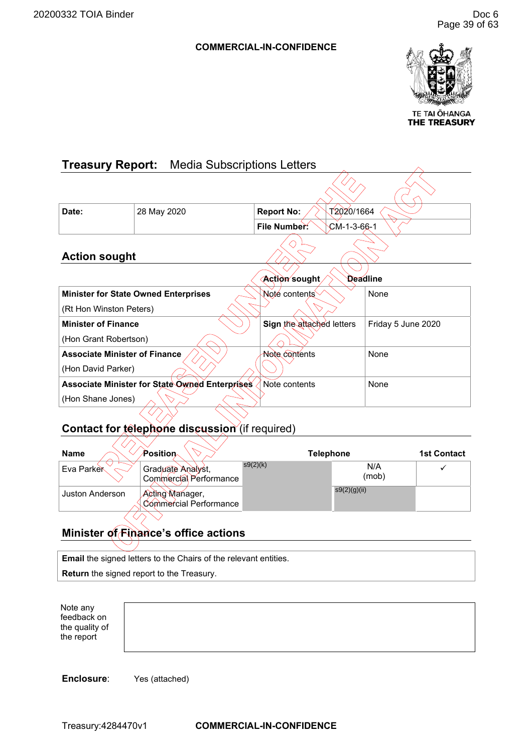# **COMMERCIAL-IN-CONFIDENCE**



TE TAI ŌHANGA THE TREASURY

<span id="page-42-0"></span>

| <b>Treasury Report:</b> Media Subscriptions Letters |                                                |                                 |                    |  |  |
|-----------------------------------------------------|------------------------------------------------|---------------------------------|--------------------|--|--|
|                                                     |                                                |                                 |                    |  |  |
| Date:                                               | 28 May 2020                                    | T2020/1664<br><b>Report No:</b> |                    |  |  |
|                                                     |                                                | File Number.<br>$CM-1-3-66-1$   |                    |  |  |
| <b>Action sought</b>                                |                                                |                                 |                    |  |  |
| Action sought<br><b>Deadline</b>                    |                                                |                                 |                    |  |  |
|                                                     | <b>Minister for State Owned Enterprises</b>    | Noté contents                   | None               |  |  |
| (Rt Hon Winston Peters)                             |                                                |                                 |                    |  |  |
| <b>Minister of Finance</b>                          |                                                | Sign the attached letters       | Friday 5 June 2020 |  |  |
| (Hon Grant Robertson)                               |                                                |                                 |                    |  |  |
| <b>Associate Minister of Finance</b>                |                                                | <b>Note contents</b>            | None               |  |  |
| (Hon David Parker)                                  |                                                |                                 |                    |  |  |
|                                                     | Associate Minister for State Owned Enterprises | Note contents                   | None               |  |  |
| (Hon Shane Jones)                                   |                                                |                                 |                    |  |  |
|                                                     |                                                |                                 |                    |  |  |

# **Contact for telephone discussion** (if required)

| <b>Name</b>            | $\mathcal{\hat{P}}$ osition $\scriptstyle\wedge$ | <b>Telephone</b> |              | <b>1st Contact</b> |
|------------------------|--------------------------------------------------|------------------|--------------|--------------------|
| <b>Eva Parker</b>      | Graduate Analyst,<br>Commercial Performance      | s9(2)(k)         | N/A<br>(mob) |                    |
| <b>Juston Anderson</b> | Acting Manager,<br>Commercial Performance        |                  | s9(2)(g)(ii) |                    |
|                        |                                                  |                  |              |                    |

# **Minister of Finance's office actions**

**Email** the signed letters to the Chairs of the relevant entities.

**Return** the signed report to the Treasury.

Note any feedback on the quality of the report

**Enclosure**: Yes (attached)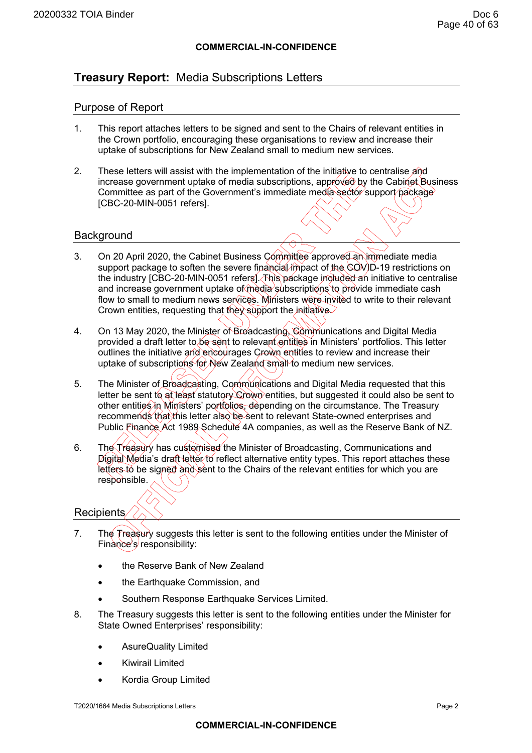# **COMMERCIAL-IN-CONFIDENCE**

# **Treasury Report:** Media Subscriptions Letters

# Purpose of Report

- 1. This report attaches letters to be signed and sent to the Chairs of relevant entities in the Crown portfolio, encouraging these organisations to review and increase their uptake of subscriptions for New Zealand small to medium new services.
- 2. These letters will assist with the implementation of the initiative to centralise and increase government uptake of media subscriptions, approved by the Cabinet Business Committee as part of the Government's immediate media sector support package [CBC-20-MIN-0051 refers].

# **Background**

- 3. On 20 April 2020, the Cabinet Business Committee approved an immediate media support package to soften the severe financial impact of the COVID-19 restrictions on the industry [CBC-20-MIN-0051 refers]. This package included an initiative to centralise and increase government uptake of media subscriptions to provide immediate cash flow to small to medium news services. Ministers were invited to write to their relevant Crown entities, requesting that they support the initiative.
- 4. On 13 May 2020, the Minister of Broadcasting, Communications and Digital Media provided a draft letter to be sent to relevant entities in Ministers' portfolios. This letter outlines the initiative and encourages Crown entities to review and increase their uptake of subscriptions for New Zealand small to medium new services.
- 5. The Minister of Broadcasting, Communications and Digital Media requested that this letter be sent to at least statutory Crown entities, but suggested it could also be sent to other entities in Ministers' portfolios, depending on the circumstance. The Treasury recommends that this letter also be sent to relevant State-owned enterprises and Public Finance Act 1989 Schedule 4A companies, as well as the Reserve Bank of NZ.
- 6. The Treasury has customised the Minister of Broadcasting, Communications and Digital Media's draft letter to reflect alternative entity types. This report attaches these letters to be signed and sent to the Chairs of the relevant entities for which you are responsible.

# Recipients

- 7. The Treasury suggests this letter is sent to the following entities under the Minister of Finance's responsibility:
	- the Reserve Bank of New Zealand
	- the Earthquake Commission, and
	- Southern Response Earthquake Services Limited.
- 8. The Treasury suggests this letter is sent to the following entities under the Minister for State Owned Enterprises' responsibility:
	- AsureQuality Limited
	- Kiwirail Limited
	- Kordia Group Limited

T2020/1664 Media Subscriptions Letters Page 2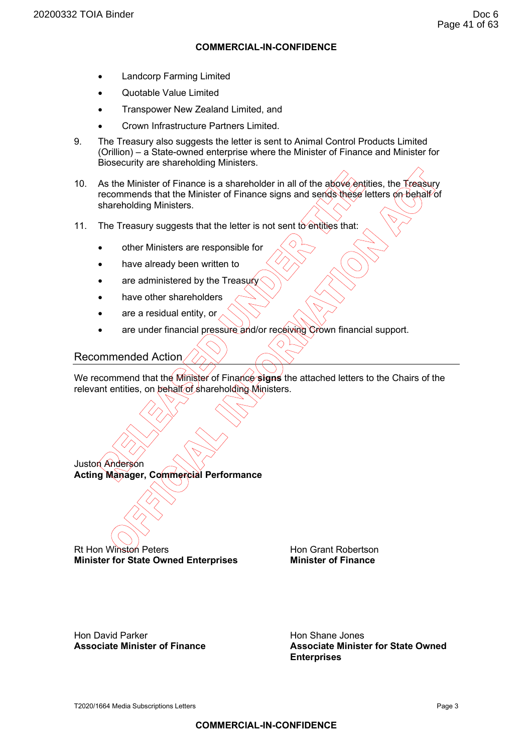## **COMMERCIAL-IN-CONFIDENCE**

- Landcorp Farming Limited
- Quotable Value Limited
- Transpower New Zealand Limited, and
- Crown Infrastructure Partners Limited.
- 9. The Treasury also suggests the letter is sent to Animal Control Products Limited (Orillion) – a State-owned enterprise where the Minister of Finance and Minister for Biosecurity are shareholding Ministers.
- 10. As the Minister of Finance is a shareholder in all of the above entities, the Treasury recommends that the Minister of Finance signs and sends these letters on behalf of shareholding Ministers.
- 11. The Treasury suggests that the letter is not sent to entities that:
	- other Ministers are responsible for
	- have already been written to
	- are administered by the Treasury
	- have other shareholders
	- are a residual entity, or
	- are under financial pressure and/or receiving Crown financial support.

# Recommended Action

Juston Anderson

We recommend that the Minister of Finance **signs** the attached letters to the Chairs of the relevant entities, on behalf of shareholding Ministers.

 $\Diamond$ 

Rt Hon Winston Peters **Hon Grant Robertson Minister for State Owned Enterprises Minister of Finance** 

**Acting Manager, Commercial Performance** 

Hon David Parker<br> **Associate Minister of Finance**<br> **Associate Minister of Finance**<br> **Associate Minister of Finance** 

**Associate Minister for State Owned Enterprises**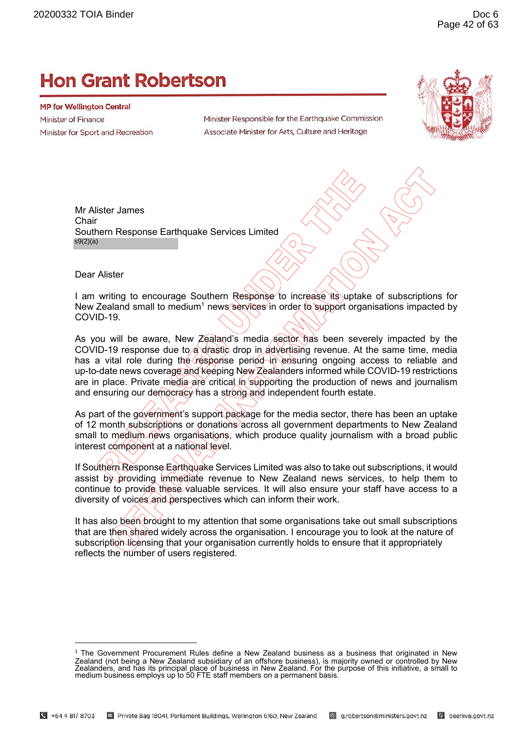# **Hon Grant Robertson**

**MP for Wellington Central** Minister of Finance Minister for Sport and Recreation

Minister Responsible for the Earthquake Commission Associate Minister for Arts, Culture and Heritage



Mr Alister James **Chair** Southern Response Earthquake Services Limited s9(2)(a)

Dear Alister

I am writing to encourage Southern Response to increase its uptake of subscriptions for New Zealand small to medium<sup>1</sup> news services in order to support organisations impacted by COVID-19.

As you will be aware, New Zealand's media sector has been severely impacted by the COVID-19 response due to a drastic drop in advertising revenue. At the same time, media has a vital role during the response period in ensuring ongoing access to reliable and up-to-date news coverage and keeping New Zealanders informed while COVID-19 restrictions are in place. Private media are critical in supporting the production of news and journalism and ensuring our democracy has a strong and independent fourth estate.

As part of the government's support package for the media sector, there has been an uptake of 12 month subscriptions or donations across all government departments to New Zealand small to medium news organisations, which produce quality journalism with a broad public interest component at a national level.

If Southern Response Earthquake Services Limited was also to take out subscriptions, it would assist by providing immediate revenue to New Zealand news services, to help them to continue to provide these valuable services. It will also ensure your staff have access to a diversity of voices and perspectives which can inform their work.

It has also been brought to my attention that some organisations take out small subscriptions that are then shared widely across the organisation. I encourage you to look at the nature of subscription licensing that your organisation currently holds to ensure that it appropriately reflects the number of users registered.

<sup>1</sup> The Government Procurement Rules define a New Zealand business as a business that originated in New Zealand (not being a New Zealand subsidiary of an offshore business), is majority owned or controlled by New<br>Zealanders, and has its principal place of business in New Zealand. For the purpose of this initiative, a small t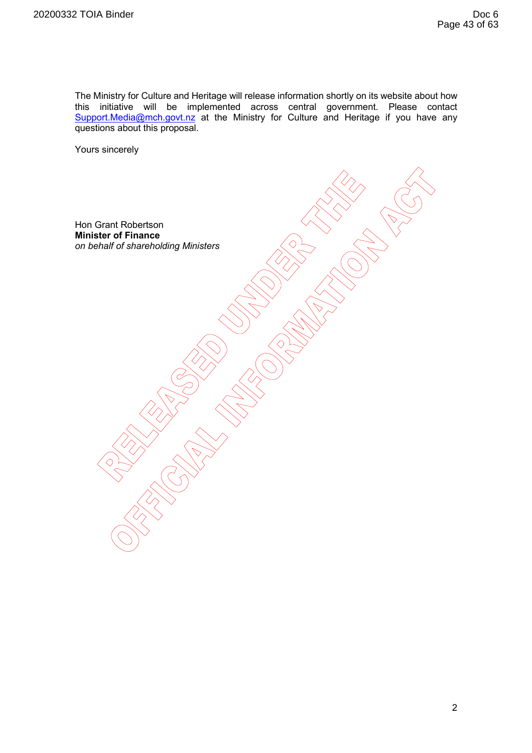The Ministry for Culture and Heritage will release information shortly on its website about how this initiative will be implemented across central government. Please contact Support.Media@mch.govt.nz at the Ministry for Culture and Heritage if you have any questions about this proposal.

Yours sincerely

Hon Grant Robertson **Minister of Finance**  *on behalf of shareholding Ministers*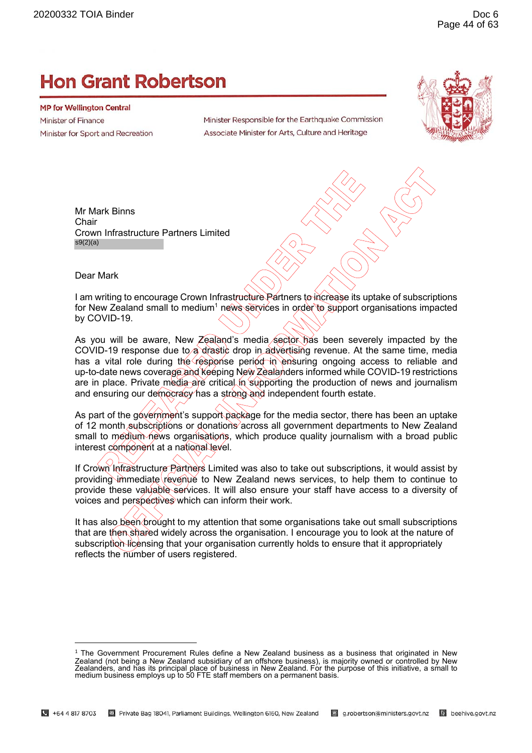# **Hon Grant Robertson**

**MP for Wellington Central** Minister of Finance Minister for Sport and Recreation

Minister Responsible for the Earthquake Commission Associate Minister for Arts, Culture and Heritage



Mr Mark Binns **Chair** Crown Infrastructure Partners Limited s9(2)(a)

Dear Mark

I am writing to encourage Crown Infrastructure Partners to increase its uptake of subscriptions for New Zealand small to medium<sup>1</sup> news services in order to support organisations impacted by COVID-19.

As you will be aware, New Zealand's media sector has been severely impacted by the COVID-19 response due to a drastic drop in advertising revenue. At the same time, media has a vital role during the response period in ensuring ongoing access to reliable and up-to-date news coverage and keeping New Zealanders informed while COVID-19 restrictions are in place. Private media are critical in supporting the production of news and journalism and ensuring our democracy has a strong and independent fourth estate.

As part of the government's support package for the media sector, there has been an uptake of 12 month subscriptions or donations across all government departments to New Zealand small to medium news organisations, which produce quality journalism with a broad public interest component at a national level.

If Crown Infrastructure Partners Limited was also to take out subscriptions, it would assist by providing immediate revenue to New Zealand news services, to help them to continue to provide these valuable services. It will also ensure your staff have access to a diversity of voices and perspectives which can inform their work.

It has also been brought to my attention that some organisations take out small subscriptions that are then shared widely across the organisation. I encourage you to look at the nature of subscription licensing that your organisation currently holds to ensure that it appropriately reflects the number of users registered.

<sup>1</sup> The Government Procurement Rules define a New Zealand business as a business that originated in New Zealand (not being a New Zealand subsidiary of an offshore business), is majority owned or controlled by New<br>Zealanders, and has its principal place of business in New Zealand. For the purpose of this initiative, a small t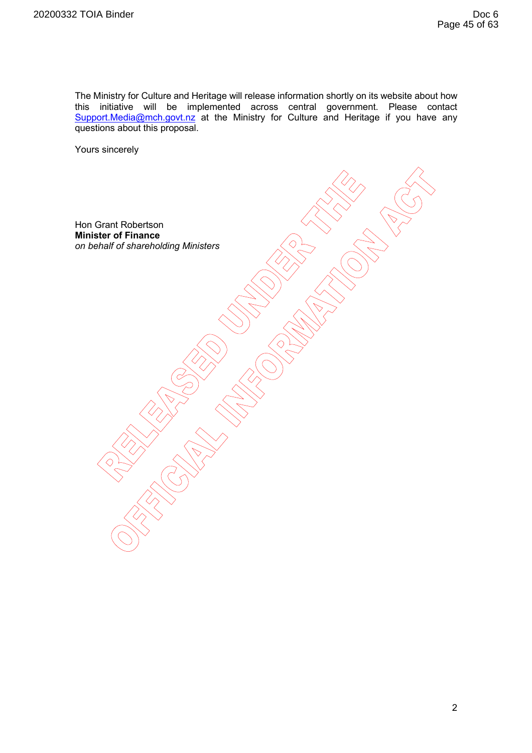The Ministry for Culture and Heritage will release information shortly on its website about how this initiative will be implemented across central government. Please contact Support.Media@mch.govt.nz at the Ministry for Culture and Heritage if you have any questions about this proposal.

Yours sincerely

Hon Grant Robertson **Minister of Finance**  *on behalf of shareholding Ministers*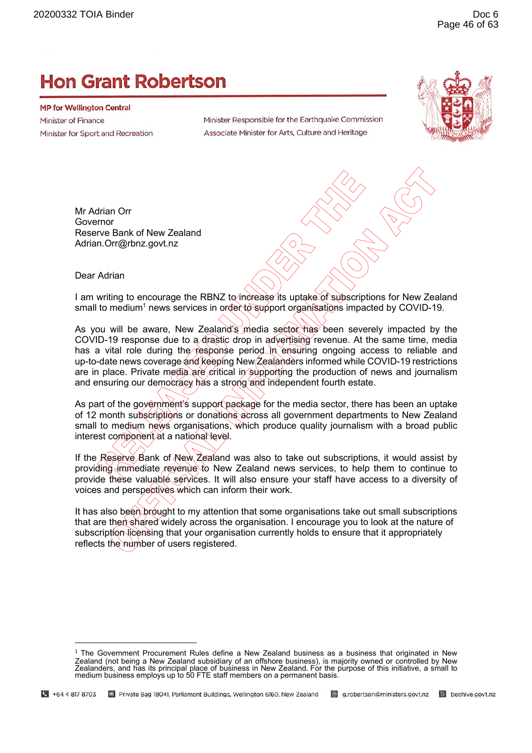# **Hon Grant Robertson**

**MP for Wellington Central** Minister of Finance Minister for Sport and Recreation

Minister Responsible for the Earthquake Commission Associate Minister for Arts, Culture and Heritage



Mr Adrian Orr Governor Reserve Bank of New Zealand Adrian.Orr@rbnz.govt.nz

#### Dear Adrian

I am writing to encourage the RBNZ to increase its uptake of subscriptions for New Zealand small to medium<sup>1</sup> news services in order to support organisations impacted by COVID-19.

As you will be aware, New Zealand's media sector has been severely impacted by the COVID-19 response due to a drastic drop in advertising revenue. At the same time, media has a vital role during the response period in ensuring ongoing access to reliable and up-to-date news coverage and keeping New Zealanders informed while COVID-19 restrictions are in place. Private media are critical in supporting the production of news and journalism and ensuring our democracy has a strong and independent fourth estate.

As part of the government's support package for the media sector, there has been an uptake of 12 month subscriptions or donations across all government departments to New Zealand small to medium news organisations, which produce quality journalism with a broad public interest component at a national level.

If the Reserve Bank of New Zealand was also to take out subscriptions, it would assist by providing immediate revenue to New Zealand news services, to help them to continue to provide these valuable services. It will also ensure your staff have access to a diversity of voices and perspectives which can inform their work.

It has also been brought to my attention that some organisations take out small subscriptions that are then shared widely across the organisation. I encourage you to look at the nature of subscription licensing that your organisation currently holds to ensure that it appropriately reflects the number of users registered.

 $1$  The Government Procurement Rules define a New Zealand business as a business that originated in New Zealand (not being a New Zealand subsidiary of an offshore business), is majority owned or controlled by New Zealanders, and has its principal place of business in New Zealand. For the purpose of this initiative, a small to medium business employs up to 50 FTE staff members on a permanent basis.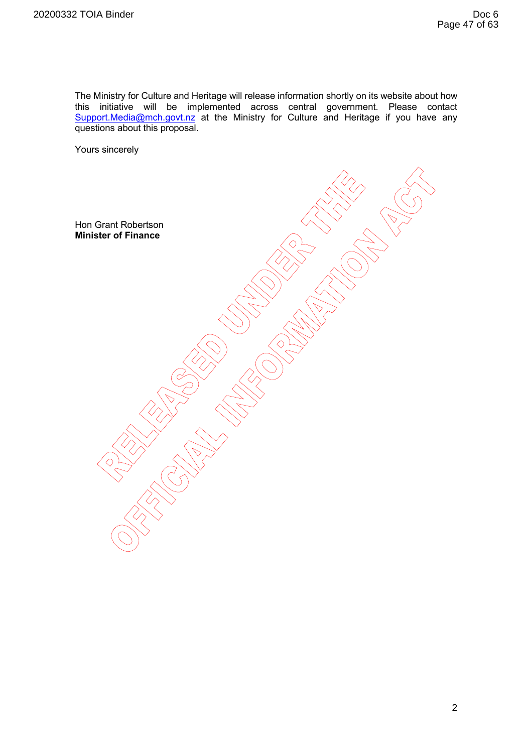The Ministry for Culture and Heritage will release information shortly on its website about how this initiative will be implemented across central government. Please contact Support.Media@mch.govt.nz at the Ministry for Culture and Heritage if you have any questions about this proposal.

Yours sincerely

Hon Grant Robertson **Minister of Finance**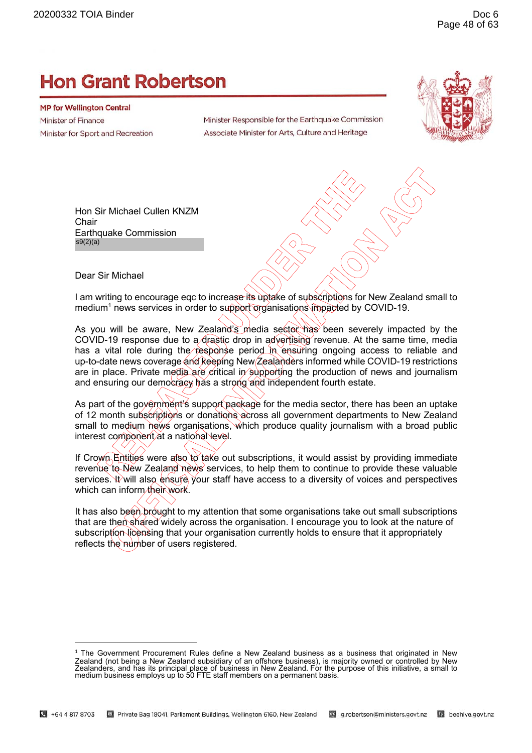# **Hon Grant Robertson**

**MP for Wellington Central** Minister of Finance Minister for Sport and Recreation

Minister Responsible for the Earthquake Commission Associate Minister for Arts, Culture and Heritage



Hon Sir Michael Cullen KNZM **Chair** Earthquake Commission s9(2)(a)

Dear Sir Michael

I am writing to encourage eqc to increase its uptake of subscriptions for New Zealand small to medium<sup>1</sup> news services in order to support organisations impacted by COVID-19.

As you will be aware, New Zealand's media sector has been severely impacted by the COVID-19 response due to a drastic drop in advertising revenue. At the same time, media has a vital role during the response period in ensuring ongoing access to reliable and up-to-date news coverage and keeping New Zealanders informed while COVID-19 restrictions are in place. Private media are critical in supporting the production of news and journalism and ensuring our democracy has a strong and independent fourth estate.

As part of the government's support package for the media sector, there has been an uptake of 12 month subscriptions or donations across all government departments to New Zealand small to medium news organisations, which produce quality journalism with a broad public interest component at a national level.

If Crown Entities were also to take out subscriptions, it would assist by providing immediate revenue to New Zealand news services, to help them to continue to provide these valuable services. It will also ensure your staff have access to a diversity of voices and perspectives which can inform their work.

It has also been brought to my attention that some organisations take out small subscriptions that are then shared widely across the organisation. I encourage you to look at the nature of subscription licensing that your organisation currently holds to ensure that it appropriately reflects the number of users registered.

<sup>1</sup> The Government Procurement Rules define a New Zealand business as a business that originated in New Zealand (not being a New Zealand subsidiary of an offshore business), is majority owned or controlled by New<br>Zealanders, and has its principal place of business in New Zealand. For the purpose of this initiative, a small t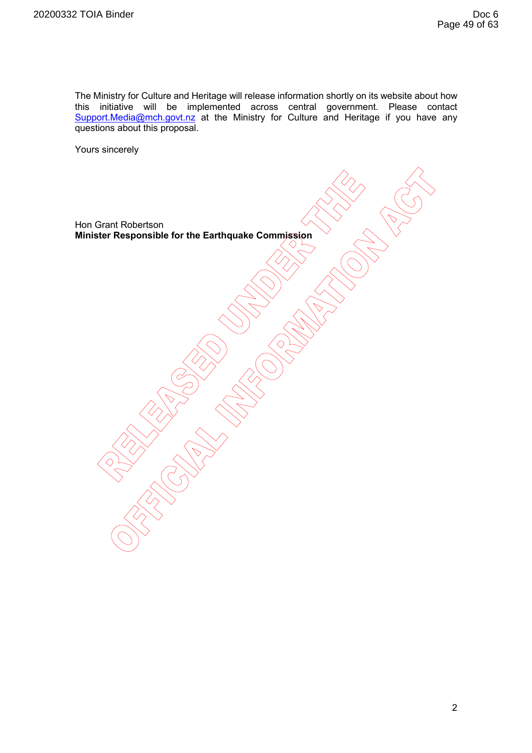The Ministry for Culture and Heritage will release information shortly on its website about how this initiative will be implemented across central government. Please contact Support.Media@mch.govt.nz at the Ministry for Culture and Heritage if you have any questions about this proposal.

Yours sincerely

Hon Grant Robertson **Minister Responsible for the Earthquake Commission**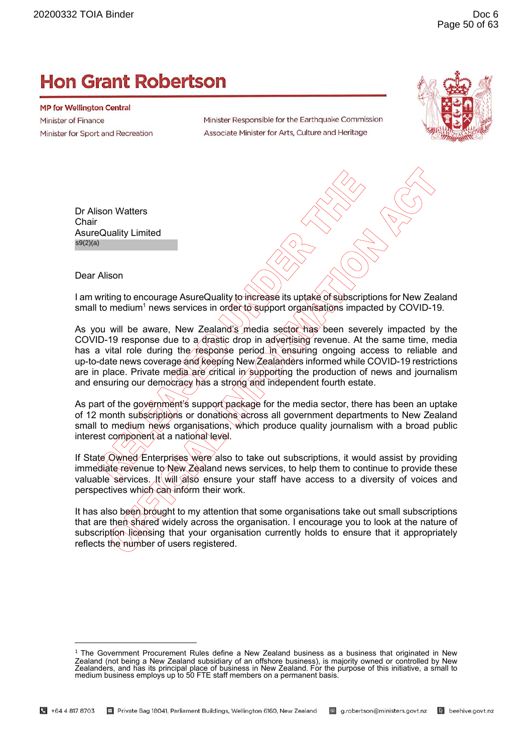# **Hon Grant Robertson**

**MP for Wellington Central** Minister of Finance Minister for Sport and Recreation

Minister Responsible for the Earthquake Commission Associate Minister for Arts, Culture and Heritage



Dr Alison Watters **Chair** AsureQuality Limited s9(2)(a)

Dear Alison

I am writing to encourage AsureQuality to increase its uptake of subscriptions for New Zealand small to medium<sup>1</sup> news services in order to support organisations impacted by COVID-19.

As you will be aware, New Zealand's media sector has been severely impacted by the COVID-19 response due to a drastic drop in advertising revenue. At the same time, media has a vital role during the response period in ensuring ongoing access to reliable and up-to-date news coverage and keeping New Zealanders informed while COVID-19 restrictions are in place. Private media are critical in supporting the production of news and journalism and ensuring our democracy has a strong and independent fourth estate.

As part of the government's support package for the media sector, there has been an uptake of 12 month subscriptions or donations across all government departments to New Zealand small to medium news organisations, which produce quality journalism with a broad public interest component at a national level.

If State Owned Enterprises were also to take out subscriptions, it would assist by providing immediate revenue to New Zealand news services, to help them to continue to provide these valuable services. It will also ensure your staff have access to a diversity of voices and perspectives which can inform their work.

It has also been brought to my attention that some organisations take out small subscriptions that are then shared widely across the organisation. I encourage you to look at the nature of subscription licensing that your organisation currently holds to ensure that it appropriately reflects the number of users registered.

<sup>1</sup> The Government Procurement Rules define a New Zealand business as a business that originated in New Zealand (not being a New Zealand subsidiary of an offshore business), is majority owned or controlled by New<br>Zealanders, and has its principal place of business in New Zealand. For the purpose of this initiative, a small t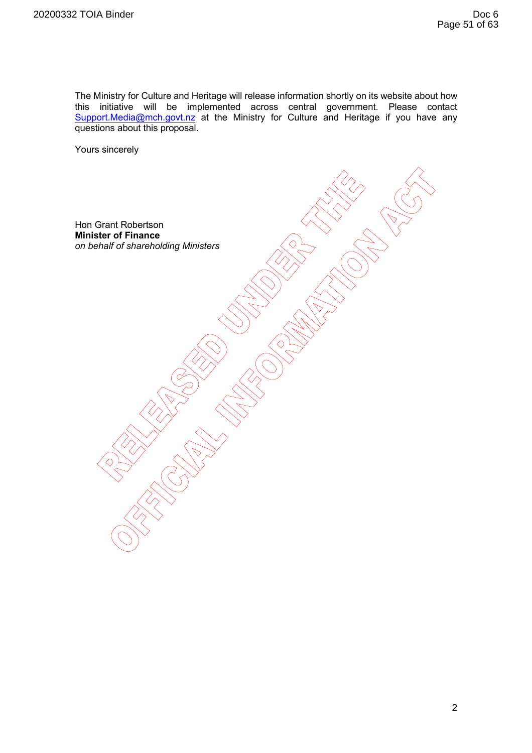The Ministry for Culture and Heritage will release information shortly on its website about how this initiative will be implemented across central government. Please contact Support.Media@mch.govt.nz at the Ministry for Culture and Heritage if you have any questions about this proposal.

Yours sincerely

Hon Grant Robertson **Minister of Finance**  *on behalf of shareholding Ministers*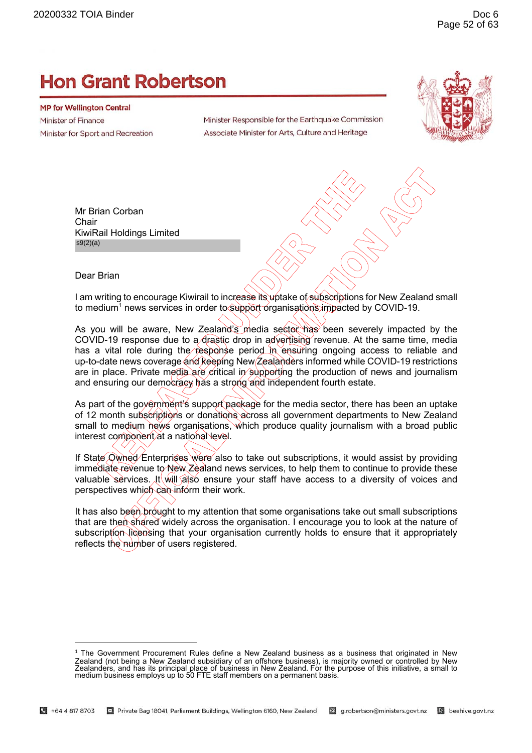# **Hon Grant Robertson**

**MP for Wellington Central** Minister of Finance Minister for Sport and Recreation

Minister Responsible for the Earthquake Commission Associate Minister for Arts, Culture and Heritage



Mr Brian Corban **Chair** KiwiRail Holdings Limited s9(2)(a)

Dear Brian

I am writing to encourage Kiwirail to increase its uptake of subscriptions for New Zealand small to medium<sup>1</sup> news services in order to support organisations impacted by COVID-19.

As you will be aware, New Zealand's media sector has been severely impacted by the COVID-19 response due to a drastic drop in advertising revenue. At the same time, media has a vital role during the response period in ensuring ongoing access to reliable and up-to-date news coverage and keeping New Zealanders informed while COVID-19 restrictions are in place. Private media are critical in supporting the production of news and journalism and ensuring our democracy has a strong and independent fourth estate.

As part of the government's support package for the media sector, there has been an uptake of 12 month subscriptions or donations across all government departments to New Zealand small to medium news organisations, which produce quality journalism with a broad public interest component at a national level.

If State Owned Enterprises were also to take out subscriptions, it would assist by providing immediate revenue to New Zealand news services, to help them to continue to provide these valuable services. It will also ensure your staff have access to a diversity of voices and perspectives which can inform their work.

It has also been brought to my attention that some organisations take out small subscriptions that are then shared widely across the organisation. I encourage you to look at the nature of subscription licensing that your organisation currently holds to ensure that it appropriately reflects the number of users registered.

<sup>1</sup> The Government Procurement Rules define a New Zealand business as a business that originated in New Zealand (not being a New Zealand subsidiary of an offshore business), is majority owned or controlled by New<br>Zealanders, and has its principal place of business in New Zealand. For the purpose of this initiative, a small t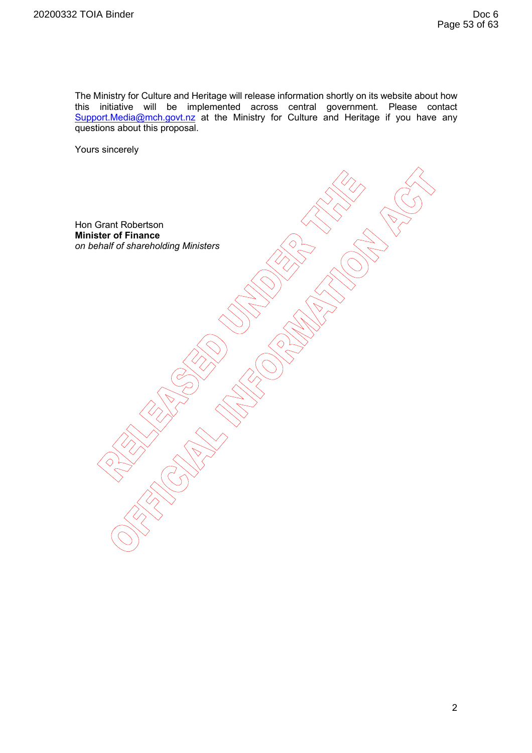The Ministry for Culture and Heritage will release information shortly on its website about how this initiative will be implemented across central government. Please contact Support.Media@mch.govt.nz at the Ministry for Culture and Heritage if you have any questions about this proposal.

Yours sincerely

Hon Grant Robertson **Minister of Finance**  *on behalf of shareholding Ministers*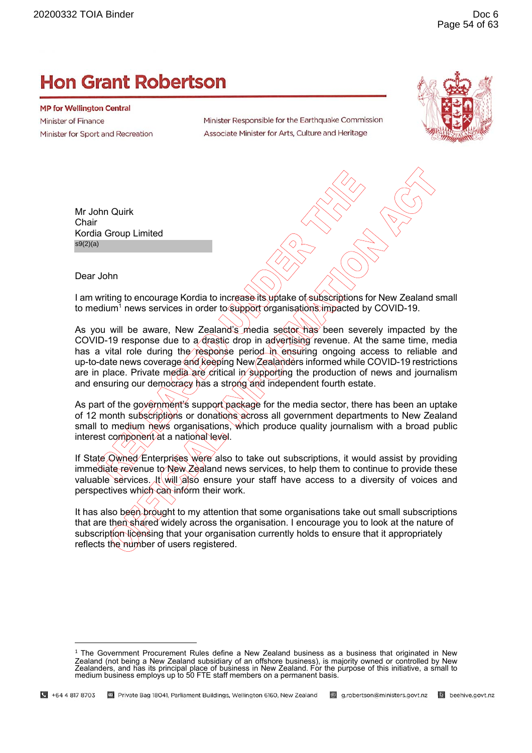# **Hon Grant Robertson**

**MP for Wellington Central Minister of Finance** Minister for Sport and Recreation

Minister Responsible for the Earthquake Commission Associate Minister for Arts, Culture and Heritage



Mr John Quirk **Chair** Kordia Group Limited s9(2)(a)

Dear John

I am writing to encourage Kordia to increase its uptake of subscriptions for New Zealand small to medium<sup>1</sup> news services in order to §υρροτι organisations impacted by COVID-19.

As you will be aware, New Zealand's media sector has been severely impacted by the COVID-19 response due to a drastic drop in advertising revenue. At the same time, media has a vital role during the response period in ensuring ongoing access to reliable and up-to-date news coverage and keeping New Zealanders informed while COVID-19 restrictions are in place. Private media are critical in supporting the production of news and journalism and ensuring our democracy has a strong and independent fourth estate.

As part of the government's support package for the media sector, there has been an uptake of 12 month subscriptions or donations across all government departments to New Zealand small to medium news organisations, which produce quality journalism with a broad public interest component at a national level.

If State Owned Enterprises were also to take out subscriptions, it would assist by providing immediate revenue to New Zealand news services, to help them to continue to provide these valuable services. It will also ensure your staff have access to a diversity of voices and perspectives which can inform their work.

It has also been brought to my attention that some organisations take out small subscriptions that are then shared widely across the organisation. I encourage you to look at the nature of subscription licensing that your organisation currently holds to ensure that it appropriately reflects the number of users registered.

 $1$  The Government Procurement Rules define a New Zealand business as a business that originated in New Zealand (not being a New Zealand subsidiary of an offshore business), is majority owned or controlled by New Zealanders, and has its principal place of business in New Zealand. For the purpose of this initiative, a small to medium business employs up to 50 FTE staff members on a permanent basis.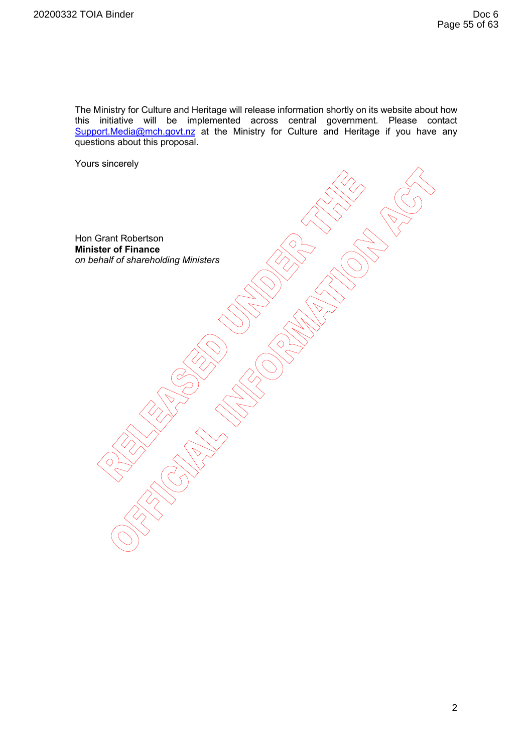The Ministry for Culture and Heritage will release information shortly on its website about how this initiative will be implemented across central government. Please contact Support.Media@mch.govt.nz at the Ministry for Culture and Heritage if you have any questions about this proposal.

Yours sincerely

Hon Grant Robertson **Minister of Finance**  *on behalf of shareholding Ministers*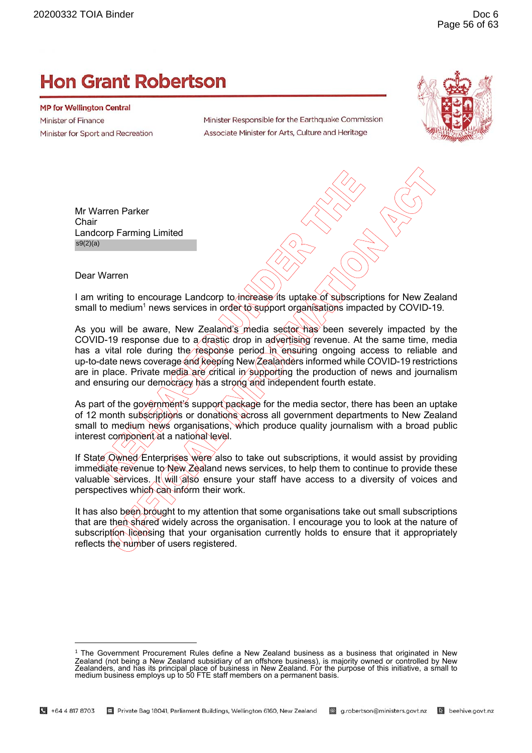# **Hon Grant Robertson**

**MP for Wellington Central** Minister of Finance Minister for Sport and Recreation

Minister Responsible for the Earthquake Commission Associate Minister for Arts, Culture and Heritage



Mr Warren Parker **Chair** Landcorp Farming Limited s9(2)(a)

Dear Warren

I am writing to encourage Landcorp to increase its uptake of subscriptions for New Zealand small to medium<sup>1</sup> news services in order to support organisations impacted by COVID-19.

As you will be aware, New Zealand's media sector has been severely impacted by the COVID-19 response due to a drastic drop in advertising revenue. At the same time, media has a vital role during the response period in ensuring ongoing access to reliable and up-to-date news coverage and keeping New Zealanders informed while COVID-19 restrictions are in place. Private media are critical in supporting the production of news and journalism and ensuring our democracy has a strong and independent fourth estate.

As part of the government's support package for the media sector, there has been an uptake of 12 month subscriptions or donations across all government departments to New Zealand small to medium news organisations, which produce quality journalism with a broad public interest component at a national level.

If State Owned Enterprises were also to take out subscriptions, it would assist by providing immediate revenue to New Zealand news services, to help them to continue to provide these valuable services. It will also ensure your staff have access to a diversity of voices and perspectives which can inform their work.

It has also been brought to my attention that some organisations take out small subscriptions that are then shared widely across the organisation. I encourage you to look at the nature of subscription licensing that your organisation currently holds to ensure that it appropriately reflects the number of users registered.

<sup>1</sup> The Government Procurement Rules define a New Zealand business as a business that originated in New Zealand (not being a New Zealand subsidiary of an offshore business), is majority owned or controlled by New<br>Zealanders, and has its principal place of business in New Zealand. For the purpose of this initiative, a small t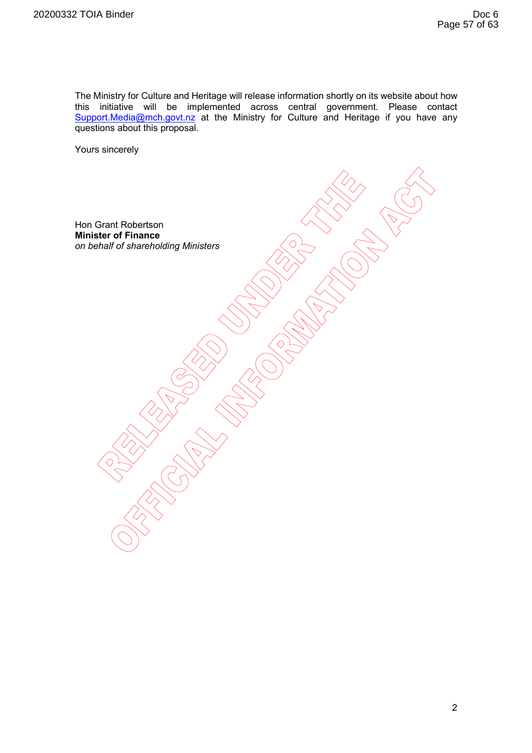The Ministry for Culture and Heritage will release information shortly on its website about how this initiative will be implemented across central government. Please contact Support.Media@mch.govt.nz at the Ministry for Culture and Heritage if you have any questions about this proposal.

Yours sincerely

Hon Grant Robertson **Minister of Finance**  *on behalf of shareholding Ministers*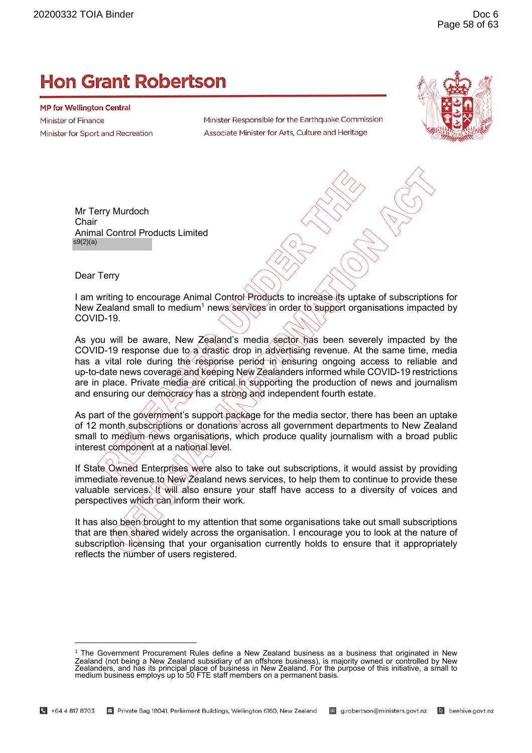# **Hon Grant Robertson**

**MP for Wellington Central** Minister of Finance Minister for Sport and Recreation

Minister Responsible for the Earthquake Commission Associate Minister for Arts, Culture and Heritage



Mr Terry Murdoch **Chair** Animal Control Products Limited s9(2)(a)

Dear Terry

I am writing to encourage Animal Control Products to increase its uptake of subscriptions for New Zealand small to medium<sup>1</sup> news services in order to support organisations impacted by COVID-19.

As you will be aware, New Zealand's media sector has been severely impacted by the COVID-19 response due to a drastic drop in advertising revenue. At the same time, media has a vital role during the response period in ensuring ongoing access to reliable and up-to-date news coverage and keeping New Zealanders informed while COVID-19 restrictions are in place. Private media are critical in supporting the production of news and journalism and ensuring our democracy has a strong and independent fourth estate.

As part of the government's support package for the media sector, there has been an uptake of 12 month subscriptions or donations across all government departments to New Zealand small to medium news organisations, which produce quality journalism with a broad public interest component at a national level.

If State Owned Enterprises were also to take out subscriptions, it would assist by providing immediate revenue to New Zealand news services, to help them to continue to provide these valuable services. It will also ensure your staff have access to a diversity of voices and perspectives which can inform their work.

It has also been brought to my attention that some organisations take out small subscriptions that are then shared widely across the organisation. I encourage you to look at the nature of subscription licensing that your organisation currently holds to ensure that it appropriately reflects the number of users registered.

<sup>1</sup> The Government Procurement Rules define a New Zealand business as a business that originated in New Zealand (not being a New Zealand subsidiary of an offshore business), is majority owned or controlled by New<br>Zealanders, and has its principal place of business in New Zealand. For the purpose of this initiative, a small t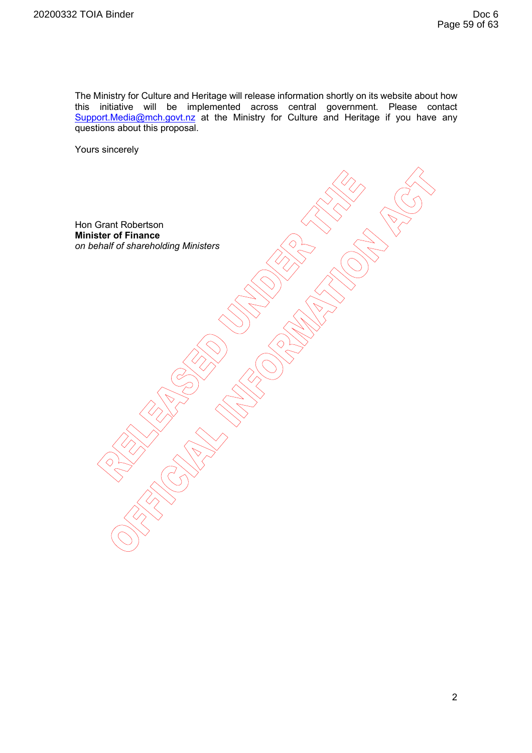The Ministry for Culture and Heritage will release information shortly on its website about how this initiative will be implemented across central government. Please contact Support.Media@mch.govt.nz at the Ministry for Culture and Heritage if you have any questions about this proposal.

Yours sincerely

Hon Grant Robertson **Minister of Finance**  *on behalf of shareholding Ministers*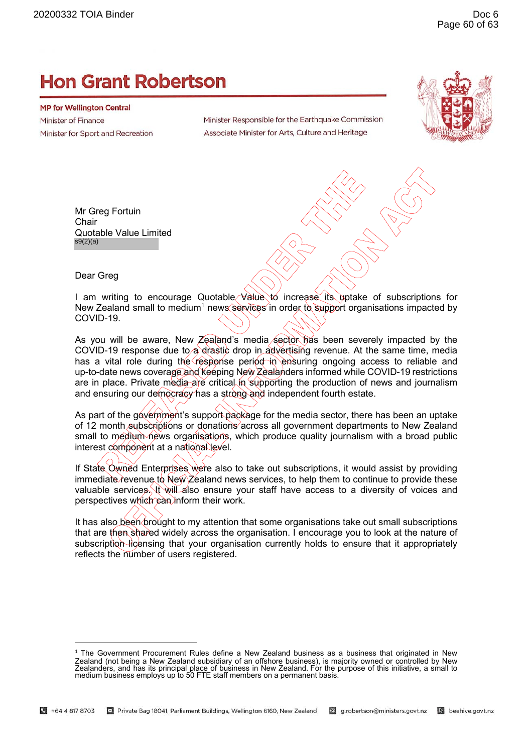# **Hon Grant Robertson**

**MP for Wellington Central** Minister of Finance Minister for Sport and Recreation

Minister Responsible for the Earthquake Commission Associate Minister for Arts, Culture and Heritage



Mr Greg Fortuin **Chair** Quotable Value Limited s9(2)(a)

Dear Greg

I am writing to encourage Quotable Value to increase its uptake of subscriptions for New Zealand small to medium<sup>1</sup> news services in order to support organisations impacted by COVID-19.

As you will be aware, New Zealand's media sector has been severely impacted by the COVID-19 response due to a drastic drop in advertising revenue. At the same time, media has a vital role during the response period in ensuring ongoing access to reliable and up-to-date news coverage and keeping New Zealanders informed while COVID-19 restrictions are in place. Private media are critical in supporting the production of news and journalism and ensuring our democracy has a strong and independent fourth estate.

As part of the government's support package for the media sector, there has been an uptake of 12 month subscriptions or donations across all government departments to New Zealand small to medium news organisations, which produce quality journalism with a broad public interest component at a national level.

If State Owned Enterprises were also to take out subscriptions, it would assist by providing immediate revenue to New Zealand news services, to help them to continue to provide these valuable services. It will also ensure your staff have access to a diversity of voices and perspectives which can inform their work.

It has also been brought to my attention that some organisations take out small subscriptions that are then shared widely across the organisation. I encourage you to look at the nature of subscription licensing that your organisation currently holds to ensure that it appropriately reflects the number of users registered.

<sup>1</sup> The Government Procurement Rules define a New Zealand business as a business that originated in New Zealand (not being a New Zealand subsidiary of an offshore business), is majority owned or controlled by New<br>Zealanders, and has its principal place of business in New Zealand. For the purpose of this initiative, a small t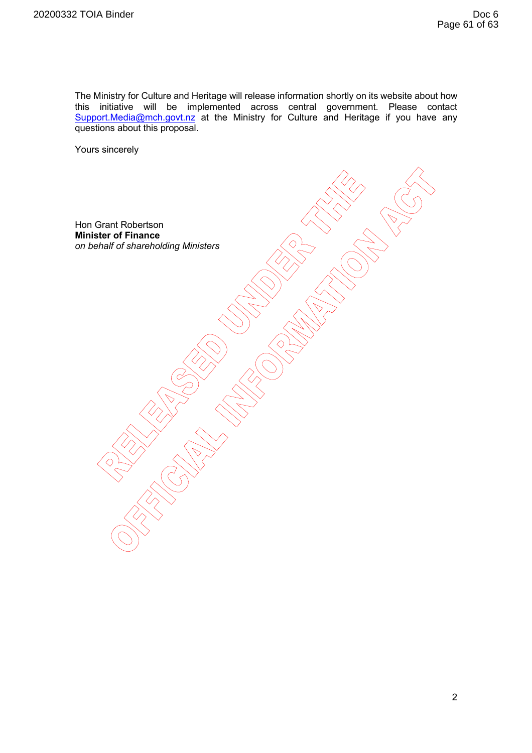The Ministry for Culture and Heritage will release information shortly on its website about how this initiative will be implemented across central government. Please contact Support.Media@mch.govt.nz at the Ministry for Culture and Heritage if you have any questions about this proposal.

Yours sincerely

Hon Grant Robertson **Minister of Finance**  *on behalf of shareholding Ministers*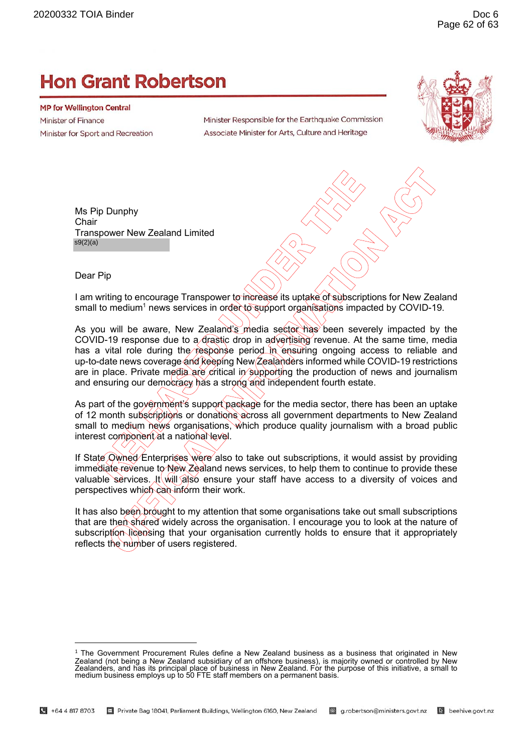# **Hon Grant Robertson**

**MP for Wellington Central** Minister of Finance Minister for Sport and Recreation

Minister Responsible for the Earthquake Commission Associate Minister for Arts, Culture and Heritage



Ms Pip Dunphy **Chair** Transpower New Zealand Limited s9(2)(a)

Dear Pip

I am writing to encourage Transpower to increase its uptake of subscriptions for New Zealand small to medium<sup>1</sup> news services in order to support organisations impacted by COVID-19.

As you will be aware, New Zealand's media sector has been severely impacted by the COVID-19 response due to a drastic drop in advertising revenue. At the same time, media has a vital role during the response period in ensuring ongoing access to reliable and up-to-date news coverage and keeping New Zealanders informed while COVID-19 restrictions are in place. Private media are critical in supporting the production of news and journalism and ensuring our democracy has a strong and independent fourth estate.

As part of the government's support package for the media sector, there has been an uptake of 12 month subscriptions or donations across all government departments to New Zealand small to medium news organisations, which produce quality journalism with a broad public interest component at a national level.

If State Owned Enterprises were also to take out subscriptions, it would assist by providing immediate revenue to New Zealand news services, to help them to continue to provide these valuable services. It will also ensure your staff have access to a diversity of voices and perspectives which can inform their work.

It has also been brought to my attention that some organisations take out small subscriptions that are then shared widely across the organisation. I encourage you to look at the nature of subscription licensing that your organisation currently holds to ensure that it appropriately reflects the number of users registered.

<sup>1</sup> The Government Procurement Rules define a New Zealand business as a business that originated in New Zealand (not being a New Zealand subsidiary of an offshore business), is majority owned or controlled by New<br>Zealanders, and has its principal place of business in New Zealand. For the purpose of this initiative, a small t